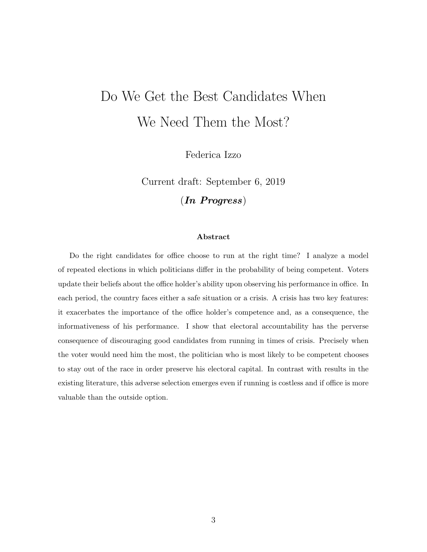# <span id="page-0-0"></span>Do We Get the Best Candidates When We Need Them the Most?

Federica Izzo

Current draft: September 6, 2019

(In Progress)

#### Abstract

Do the right candidates for office choose to run at the right time? I analyze a model of repeated elections in which politicians differ in the probability of being competent. Voters update their beliefs about the office holder's ability upon observing his performance in office. In each period, the country faces either a safe situation or a crisis. A crisis has two key features: it exacerbates the importance of the office holder's competence and, as a consequence, the informativeness of his performance. I show that electoral accountability has the perverse consequence of discouraging good candidates from running in times of crisis. Precisely when the voter would need him the most, the politician who is most likely to be competent chooses to stay out of the race in order preserve his electoral capital. In contrast with results in the existing literature, this adverse selection emerges even if running is costless and if office is more valuable than the outside option.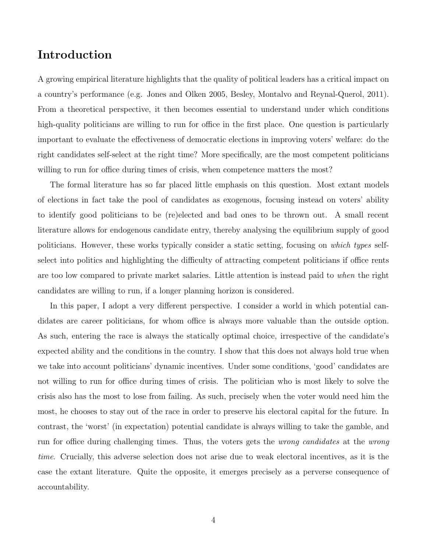# Introduction

A growing empirical literature highlights that the quality of political leaders has a critical impact on a country's performance (e.g. Jones and Olken 2005, Besley, Montalvo and Reynal-Querol, 2011). From a theoretical perspective, it then becomes essential to understand under which conditions high-quality politicians are willing to run for office in the first place. One question is particularly important to evaluate the effectiveness of democratic elections in improving voters' welfare: do the right candidates self-select at the right time? More specifically, are the most competent politicians willing to run for office during times of crisis, when competence matters the most?

The formal literature has so far placed little emphasis on this question. Most extant models of elections in fact take the pool of candidates as exogenous, focusing instead on voters' ability to identify good politicians to be (re)elected and bad ones to be thrown out. A small recent literature allows for endogenous candidate entry, thereby analysing the equilibrium supply of good politicians. However, these works typically consider a static setting, focusing on which types selfselect into politics and highlighting the difficulty of attracting competent politicians if office rents are too low compared to private market salaries. Little attention is instead paid to when the right candidates are willing to run, if a longer planning horizon is considered.

In this paper, I adopt a very different perspective. I consider a world in which potential candidates are career politicians, for whom office is always more valuable than the outside option. As such, entering the race is always the statically optimal choice, irrespective of the candidate's expected ability and the conditions in the country. I show that this does not always hold true when we take into account politicians' dynamic incentives. Under some conditions, 'good' candidates are not willing to run for office during times of crisis. The politician who is most likely to solve the crisis also has the most to lose from failing. As such, precisely when the voter would need him the most, he chooses to stay out of the race in order to preserve his electoral capital for the future. In contrast, the 'worst' (in expectation) potential candidate is always willing to take the gamble, and run for office during challenging times. Thus, the voters gets the wrong candidates at the wrong time. Crucially, this adverse selection does not arise due to weak electoral incentives, as it is the case the extant literature. Quite the opposite, it emerges precisely as a perverse consequence of accountability.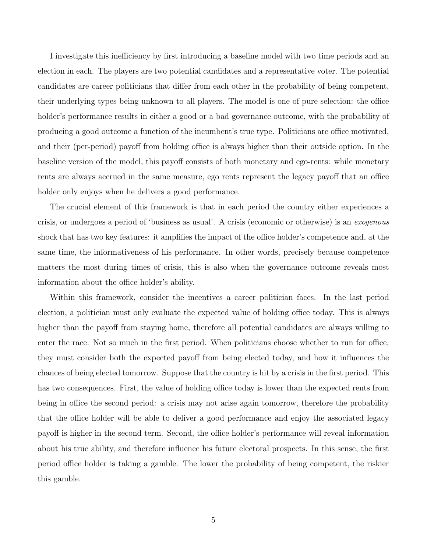I investigate this inefficiency by first introducing a baseline model with two time periods and an election in each. The players are two potential candidates and a representative voter. The potential candidates are career politicians that differ from each other in the probability of being competent, their underlying types being unknown to all players. The model is one of pure selection: the office holder's performance results in either a good or a bad governance outcome, with the probability of producing a good outcome a function of the incumbent's true type. Politicians are office motivated, and their (per-period) payoff from holding office is always higher than their outside option. In the baseline version of the model, this payoff consists of both monetary and ego-rents: while monetary rents are always accrued in the same measure, ego rents represent the legacy payoff that an office holder only enjoys when he delivers a good performance.

The crucial element of this framework is that in each period the country either experiences a crisis, or undergoes a period of 'business as usual'. A crisis (economic or otherwise) is an exogenous shock that has two key features: it amplifies the impact of the office holder's competence and, at the same time, the informativeness of his performance. In other words, precisely because competence matters the most during times of crisis, this is also when the governance outcome reveals most information about the office holder's ability.

Within this framework, consider the incentives a career politician faces. In the last period election, a politician must only evaluate the expected value of holding office today. This is always higher than the payoff from staying home, therefore all potential candidates are always willing to enter the race. Not so much in the first period. When politicians choose whether to run for office, they must consider both the expected payoff from being elected today, and how it influences the chances of being elected tomorrow. Suppose that the country is hit by a crisis in the first period. This has two consequences. First, the value of holding office today is lower than the expected rents from being in office the second period: a crisis may not arise again tomorrow, therefore the probability that the office holder will be able to deliver a good performance and enjoy the associated legacy payoff is higher in the second term. Second, the office holder's performance will reveal information about his true ability, and therefore influence his future electoral prospects. In this sense, the first period office holder is taking a gamble. The lower the probability of being competent, the riskier this gamble.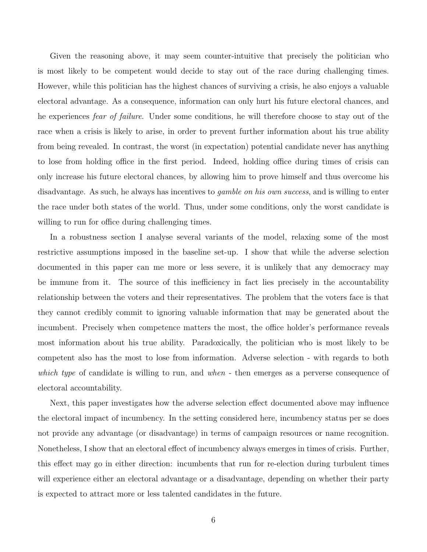Given the reasoning above, it may seem counter-intuitive that precisely the politician who is most likely to be competent would decide to stay out of the race during challenging times. However, while this politician has the highest chances of surviving a crisis, he also enjoys a valuable electoral advantage. As a consequence, information can only hurt his future electoral chances, and he experiences fear of failure. Under some conditions, he will therefore choose to stay out of the race when a crisis is likely to arise, in order to prevent further information about his true ability from being revealed. In contrast, the worst (in expectation) potential candidate never has anything to lose from holding office in the first period. Indeed, holding office during times of crisis can only increase his future electoral chances, by allowing him to prove himself and thus overcome his disadvantage. As such, he always has incentives to *gamble on his own success*, and is willing to enter the race under both states of the world. Thus, under some conditions, only the worst candidate is willing to run for office during challenging times.

In a robustness section I analyse several variants of the model, relaxing some of the most restrictive assumptions imposed in the baseline set-up. I show that while the adverse selection documented in this paper can me more or less severe, it is unlikely that any democracy may be immune from it. The source of this inefficiency in fact lies precisely in the accountability relationship between the voters and their representatives. The problem that the voters face is that they cannot credibly commit to ignoring valuable information that may be generated about the incumbent. Precisely when competence matters the most, the office holder's performance reveals most information about his true ability. Paradoxically, the politician who is most likely to be competent also has the most to lose from information. Adverse selection - with regards to both which type of candidate is willing to run, and when - then emerges as a perverse consequence of electoral accountability.

Next, this paper investigates how the adverse selection effect documented above may influence the electoral impact of incumbency. In the setting considered here, incumbency status per se does not provide any advantage (or disadvantage) in terms of campaign resources or name recognition. Nonetheless, I show that an electoral effect of incumbency always emerges in times of crisis. Further, this effect may go in either direction: incumbents that run for re-election during turbulent times will experience either an electoral advantage or a disadvantage, depending on whether their party is expected to attract more or less talented candidates in the future.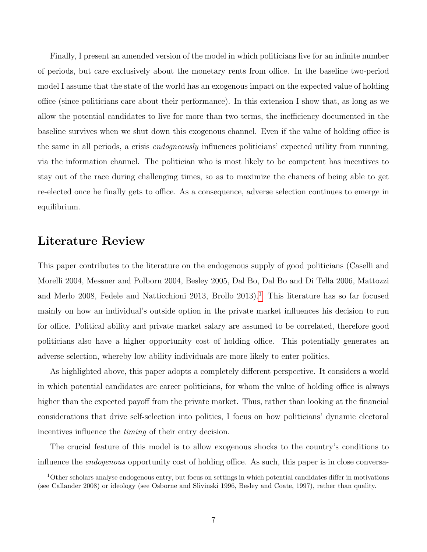Finally, I present an amended version of the model in which politicians live for an infinite number of periods, but care exclusively about the monetary rents from office. In the baseline two-period model I assume that the state of the world has an exogenous impact on the expected value of holding office (since politicians care about their performance). In this extension I show that, as long as we allow the potential candidates to live for more than two terms, the inefficiency documented in the baseline survives when we shut down this exogenous channel. Even if the value of holding office is the same in all periods, a crisis endogneously influences politicians' expected utility from running, via the information channel. The politician who is most likely to be competent has incentives to stay out of the race during challenging times, so as to maximize the chances of being able to get re-elected once he finally gets to office. As a consequence, adverse selection continues to emerge in equilibrium.

## Literature Review

This paper contributes to the literature on the endogenous supply of good politicians (Caselli and Morelli 2004, Messner and Polborn 2004, Besley 2005, Dal Bo, Dal Bo and Di Tella 2006, Mattozzi and Merlo 2008, Fedele and Natticchioni 20[1](#page-0-0)3, Brollo 2013).<sup>1</sup> This literature has so far focused mainly on how an individual's outside option in the private market influences his decision to run for office. Political ability and private market salary are assumed to be correlated, therefore good politicians also have a higher opportunity cost of holding office. This potentially generates an adverse selection, whereby low ability individuals are more likely to enter politics.

As highlighted above, this paper adopts a completely different perspective. It considers a world in which potential candidates are career politicians, for whom the value of holding office is always higher than the expected payoff from the private market. Thus, rather than looking at the financial considerations that drive self-selection into politics, I focus on how politicians' dynamic electoral incentives influence the timing of their entry decision.

The crucial feature of this model is to allow exogenous shocks to the country's conditions to influence the endogenous opportunity cost of holding office. As such, this paper is in close conversa-

<sup>1</sup>Other scholars analyse endogenous entry, but focus on settings in which potential candidates differ in motivations (see Callander 2008) or ideology (see Osborne and Slivinski 1996, Besley and Coate, 1997), rather than quality.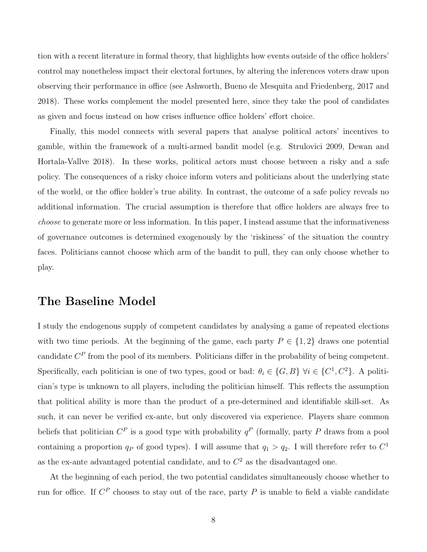tion with a recent literature in formal theory, that highlights how events outside of the office holders' control may nonetheless impact their electoral fortunes, by altering the inferences voters draw upon observing their performance in office (see Ashworth, Bueno de Mesquita and Friedenberg, 2017 and 2018). These works complement the model presented here, since they take the pool of candidates as given and focus instead on how crises influence office holders' effort choice.

Finally, this model connects with several papers that analyse political actors' incentives to gamble, within the framework of a multi-armed bandit model (e.g. Strulovici 2009, Dewan and Hortala-Vallve 2018). In these works, political actors must choose between a risky and a safe policy. The consequences of a risky choice inform voters and politicians about the underlying state of the world, or the office holder's true ability. In contrast, the outcome of a safe policy reveals no additional information. The crucial assumption is therefore that office holders are always free to choose to generate more or less information. In this paper, I instead assume that the informativeness of governance outcomes is determined exogenously by the 'riskiness' of the situation the country faces. Politicians cannot choose which arm of the bandit to pull, they can only choose whether to play.

# The Baseline Model

I study the endogenous supply of competent candidates by analysing a game of repeated elections with two time periods. At the beginning of the game, each party  $P \in \{1,2\}$  draws one potential candidate  $C^P$  from the pool of its members. Politicians differ in the probability of being competent. Specifically, each politician is one of two types, good or bad:  $\theta_i \in \{G, B\}$   $\forall i \in \{C^1, C^2\}$ . A politician's type is unknown to all players, including the politician himself. This reflects the assumption that political ability is more than the product of a pre-determined and identifiable skill-set. As such, it can never be verified ex-ante, but only discovered via experience. Players share common beliefs that politician  $C^P$  is a good type with probability  $q^P$  (formally, party P draws from a pool containing a proportion  $q_P$  of good types). I will assume that  $q_1 > q_2$ . I will therefore refer to  $C^1$ as the ex-ante advantaged potential candidate, and to  $C<sup>2</sup>$  as the disadvantaged one.

At the beginning of each period, the two potential candidates simultaneously choose whether to run for office. If  $C^P$  chooses to stay out of the race, party P is unable to field a viable candidate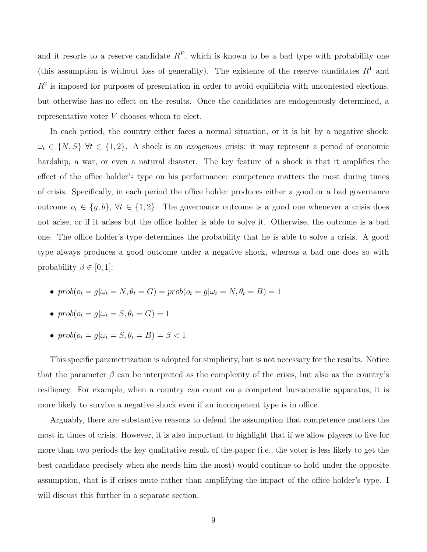and it resorts to a reserve candidate  $R^P$ , which is known to be a bad type with probability one (this assumption is without loss of generality). The existence of the reserve candidates  $R<sup>1</sup>$  and  $R<sup>2</sup>$  is imposed for purposes of presentation in order to avoid equilibria with uncontested elections, but otherwise has no effect on the results. Once the candidates are endogenously determined, a representative voter V chooses whom to elect.

In each period, the country either faces a normal situation, or it is hit by a negative shock:  $\omega_t \in \{N, S\}$   $\forall t \in \{1, 2\}$ . A shock is an *exogenous* crisis: it may represent a period of economic hardship, a war, or even a natural disaster. The key feature of a shock is that it amplifies the effect of the office holder's type on his performance: competence matters the most during times of crisis. Specifically, in each period the office holder produces either a good or a bad governance outcome  $o_t \in \{g, b\}, \forall t \in \{1, 2\}.$  The governance outcome is a good one whenever a crisis does not arise, or if it arises but the office holder is able to solve it. Otherwise, the outcome is a bad one. The office holder's type determines the probability that he is able to solve a crisis. A good type always produces a good outcome under a negative shock, whereas a bad one does so with probability  $\beta \in [0, 1]$ :

• 
$$
prob(o_t = g | \omega_t = N, \theta_t = G) = prob(o_t = g | \omega_t = N, \theta_t = B) = 1
$$

• 
$$
prob(o_t = g | \omega_t = S, \theta_t = G) = 1
$$

•  $prob(o_t = g | \omega_t = S, \theta_t = B) = \beta < 1$ 

This specific parametrization is adopted for simplicity, but is not necessary for the results. Notice that the parameter  $\beta$  can be interpreted as the complexity of the crisis, but also as the country's resiliency. For example, when a country can count on a competent bureaucratic apparatus, it is more likely to survive a negative shock even if an incompetent type is in office.

Arguably, there are substantive reasons to defend the assumption that competence matters the most in times of crisis. However, it is also important to highlight that if we allow players to live for more than two periods the key qualitative result of the paper (i.e., the voter is less likely to get the best candidate precisely when she needs him the most) would continue to hold under the opposite assumption, that is if crises mute rather than amplifying the impact of the office holder's type. I will discuss this further in a separate section.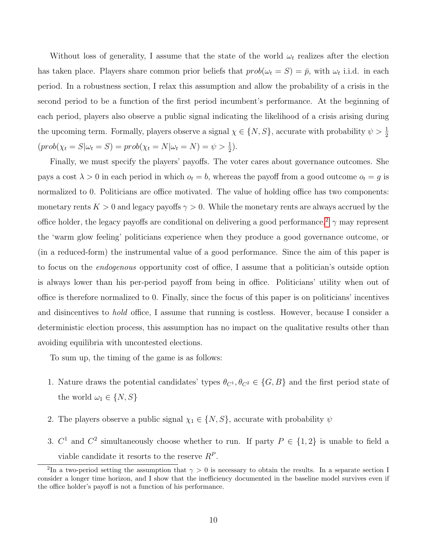Without loss of generality, I assume that the state of the world  $\omega_t$  realizes after the election has taken place. Players share common prior beliefs that  $prob(\omega_t = S) = \bar{p}$ , with  $\omega_t$  i.i.d. in each period. In a robustness section, I relax this assumption and allow the probability of a crisis in the second period to be a function of the first period incumbent's performance. At the beginning of each period, players also observe a public signal indicating the likelihood of a crisis arising during the upcoming term. Formally, players observe a signal  $\chi \in \{N, S\}$ , accurate with probability  $\psi > \frac{1}{2}$  $(prob(\chi_t = S | \omega_t = S) = prob(\chi_t = N | \omega_t = N) = \psi > \frac{1}{2}).$ 

Finally, we must specify the players' payoffs. The voter cares about governance outcomes. She pays a cost  $\lambda > 0$  in each period in which  $o_t = b$ , whereas the payoff from a good outcome  $o_t = g$  is normalized to 0. Politicians are office motivated. The value of holding office has two components: monetary rents  $K > 0$  and legacy payoffs  $\gamma > 0$ . While the monetary rents are always accrued by the office holder, the legacy payoffs are conditional on delivering a good performance.<sup>[2](#page-0-0)</sup>  $\gamma$  may represent the 'warm glow feeling' politicians experience when they produce a good governance outcome, or (in a reduced-form) the instrumental value of a good performance. Since the aim of this paper is to focus on the endogenous opportunity cost of office, I assume that a politician's outside option is always lower than his per-period payoff from being in office. Politicians' utility when out of office is therefore normalized to 0. Finally, since the focus of this paper is on politicians' incentives and disincentives to hold office, I assume that running is costless. However, because I consider a deterministic election process, this assumption has no impact on the qualitative results other than avoiding equilibria with uncontested elections.

To sum up, the timing of the game is as follows:

- 1. Nature draws the potential candidates' types  $\theta_{C^1}, \theta_{C^2} \in \{G, B\}$  and the first period state of the world  $\omega_1 \in \{N, S\}$
- 2. The players observe a public signal  $\chi_1 \in \{N, S\}$ , accurate with probability  $\psi$
- 3.  $C^1$  and  $C^2$  simultaneously choose whether to run. If party  $P \in \{1,2\}$  is unable to field a viable candidate it resorts to the reserve  $R^P$ .

<sup>&</sup>lt;sup>2</sup>In a two-period setting the assumption that  $\gamma > 0$  is necessary to obtain the results. In a separate section I consider a longer time horizon, and I show that the inefficiency documented in the baseline model survives even if the office holder's payoff is not a function of his performance.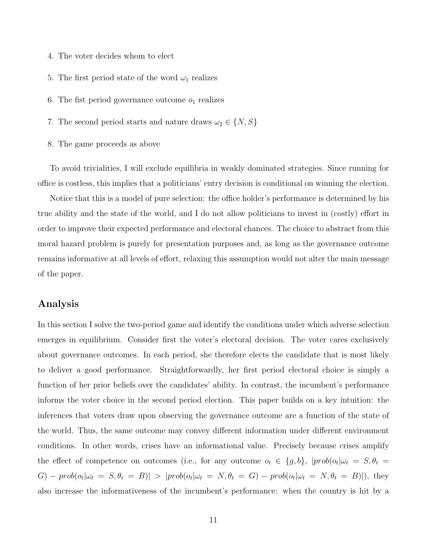- 4. The voter decides whom to elect
- 5. The first period state of the word  $\omega_1$  realizes
- 6. The fist period governance outcome  $o_1$  realizes
- 7. The second period starts and nature draws  $\omega_2 \in \{N,S\}$
- 8. The game proceeds as above

To avoid trivialities, I will exclude equilibria in weakly dominated strategies. Since running for office is costless, this implies that a politicians' entry decision is conditional on winning the election.

Notice that this is a model of pure selection: the office holder's performance is determined by his true ability and the state of the world, and I do not allow politicians to invest in (costly) effort in order to improve their expected performance and electoral chances. The choice to abstract from this moral hazard problem is purely for presentation purposes and, as long as the governance outcome remains informative at all levels of effort, relaxing this assumption would not alter the main message of the paper.

### Analysis

In this section I solve the two-period game and identify the conditions under which adverse selection emerges in equilibrium. Consider first the voter's electoral decision. The voter cares exclusively about governance outcomes. In each period, she therefore elects the candidate that is most likely to deliver a good performance. Straightforwardly, her first period electoral choice is simply a function of her prior beliefs over the candidates' ability. In contrast, the incumbent's performance informs the voter choice in the second period election. This paper builds on a key intuition: the inferences that voters draw upon observing the governance outcome are a function of the state of the world. Thus, the same outcome may convey different information under different environment conditions. In other words, crises have an informational value. Precisely because crises amplify the effect of competence on outcomes (i.e., for any outcome  $o_t \in \{g, b\}$ ,  $|prob(o_t| \omega_t = S, \theta_t =$  $G) - prob(o_t|\omega_t = S, \theta_t = B)| > |prob(o_t|\omega_t = N, \theta_t = G) - prob(o_t|\omega_t = N, \theta_t = B)|$ , they also increase the informativeness of the incumbent's performance: when the country is hit by a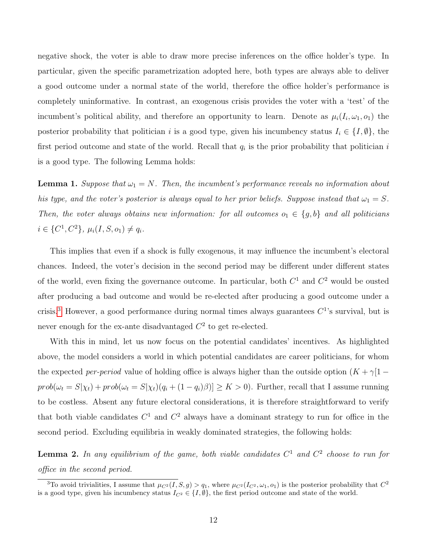negative shock, the voter is able to draw more precise inferences on the office holder's type. In particular, given the specific parametrization adopted here, both types are always able to deliver a good outcome under a normal state of the world, therefore the office holder's performance is completely uninformative. In contrast, an exogenous crisis provides the voter with a 'test' of the incumbent's political ability, and therefore an opportunity to learn. Denote as  $\mu_i(I_i, \omega_1, o_1)$  the posterior probability that politician i is a good type, given his incumbency status  $I_i \in \{I, \emptyset\}$ , the first period outcome and state of the world. Recall that  $q_i$  is the prior probability that politician i is a good type. The following Lemma holds:

**Lemma 1.** Suppose that  $\omega_1 = N$ . Then, the incumbent's performance reveals no information about his type, and the voter's posterior is always equal to her prior beliefs. Suppose instead that  $\omega_1 = S$ . Then, the voter always obtains new information: for all outcomes  $o_1 \in \{g, b\}$  and all politicians  $i \in \{C^1, C^2\}, \mu_i(I, S, o_1) \neq q_i.$ 

This implies that even if a shock is fully exogenous, it may influence the incumbent's electoral chances. Indeed, the voter's decision in the second period may be different under different states of the world, even fixing the governance outcome. In particular, both  $C^1$  and  $C^2$  would be ousted after producing a bad outcome and would be re-elected after producing a good outcome under a crisis.<sup>[3](#page-0-0)</sup> However, a good performance during normal times always guarantees  $C<sup>1</sup>$ 's survival, but is never enough for the ex-ante disadvantaged  $C^2$  to get re-elected.

With this in mind, let us now focus on the potential candidates' incentives. As highlighted above, the model considers a world in which potential candidates are career politicians, for whom the expected per-period value of holding office is always higher than the outside option  $(K + \gamma)$ [1 –  $prob(\omega_t = S|\chi_t) + prob(\omega_t = S|\chi_t)(q_i + (1 - q_i)\beta)] \ge K > 0$ . Further, recall that I assume running to be costless. Absent any future electoral considerations, it is therefore straightforward to verify that both viable candidates  $C^1$  and  $C^2$  always have a dominant strategy to run for office in the second period. Excluding equilibria in weakly dominated strategies, the following holds:

**Lemma 2.** In any equilibrium of the game, both viable candidates  $C^1$  and  $C^2$  choose to run for office in the second period.

<sup>&</sup>lt;sup>3</sup>To avoid trivialities, I assume that  $\mu_{C^2}(I, S, g) > q_1$ , where  $\mu_{C^2}(I_{C^2}, \omega_1, o_1)$  is the posterior probability that  $C^2$ is a good type, given his incumbency status  $I_{C^2} \in \{I, \emptyset\}$ , the first period outcome and state of the world.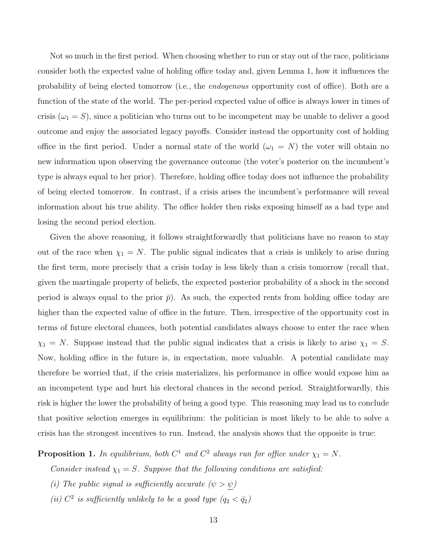Not so much in the first period. When choosing whether to run or stay out of the race, politicians consider both the expected value of holding office today and, given Lemma 1, how it influences the probability of being elected tomorrow (i.e., the endogenous opportunity cost of office). Both are a function of the state of the world. The per-period expected value of office is always lower in times of crisis  $(\omega_1 = S)$ , since a politician who turns out to be incompetent may be unable to deliver a good outcome and enjoy the associated legacy payoffs. Consider instead the opportunity cost of holding office in the first period. Under a normal state of the world  $(\omega_1 = N)$  the voter will obtain no new information upon observing the governance outcome (the voter's posterior on the incumbent's type is always equal to her prior). Therefore, holding office today does not influence the probability of being elected tomorrow. In contrast, if a crisis arises the incumbent's performance will reveal information about his true ability. The office holder then risks exposing himself as a bad type and losing the second period election.

Given the above reasoning, it follows straightforwardly that politicians have no reason to stay out of the race when  $\chi_1 = N$ . The public signal indicates that a crisis is unlikely to arise during the first term, more precisely that a crisis today is less likely than a crisis tomorrow (recall that, given the martingale property of beliefs, the expected posterior probability of a shock in the second period is always equal to the prior  $\bar{p}$ ). As such, the expected rents from holding office today are higher than the expected value of office in the future. Then, irrespective of the opportunity cost in terms of future electoral chances, both potential candidates always choose to enter the race when  $\chi_1 = N$ . Suppose instead that the public signal indicates that a crisis is likely to arise  $\chi_1 = S$ . Now, holding office in the future is, in expectation, more valuable. A potential candidate may therefore be worried that, if the crisis materializes, his performance in office would expose him as an incompetent type and hurt his electoral chances in the second period. Straightforwardly, this risk is higher the lower the probability of being a good type. This reasoning may lead us to conclude that positive selection emerges in equilibrium: the politician is most likely to be able to solve a crisis has the strongest incentives to run. Instead, the analysis shows that the opposite is true:

**Proposition 1.** In equilibrium, both  $C^1$  and  $C^2$  always run for office under  $\chi_1 = N$ .

Consider instead  $\chi_1 = S$ . Suppose that the following conditions are satisfied:

- (i) The public signal is sufficiently accurate  $(\psi > \psi)$
- (ii)  $C^2$  is sufficiently unlikely to be a good type  $(q_2 < \bar{q}_2)$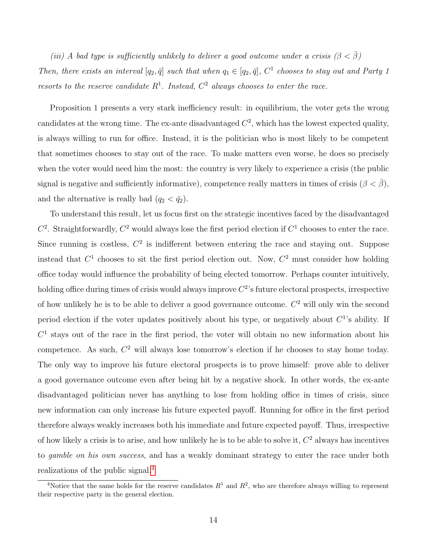(iii) A bad type is sufficiently unlikely to deliver a good outcome under a crisis ( $\beta < \bar{\beta}$ ) Then, there exists an interval  $[q_2, \bar{q}]$  such that when  $q_1 \in [q_2, \bar{q}]$ ,  $C^1$  chooses to stay out and Party 1 resorts to the reserve candidate  $R^1$ . Instead,  $C^2$  always chooses to enter the race.

Proposition 1 presents a very stark inefficiency result: in equilibrium, the voter gets the wrong candidates at the wrong time. The ex-ante disadvantaged  $C^2$ , which has the lowest expected quality, is always willing to run for office. Instead, it is the politician who is most likely to be competent that sometimes chooses to stay out of the race. To make matters even worse, he does so precisely when the voter would need him the most: the country is very likely to experience a crisis (the public signal is negative and sufficiently informative), competence really matters in times of crisis ( $\beta < \bar{\beta}$ ), and the alternative is really bad  $(q_2 < \bar{q}_2)$ .

To understand this result, let us focus first on the strategic incentives faced by the disadvantaged  $C^2$ . Straightforwardly,  $C^2$  would always lose the first period election if  $C^1$  chooses to enter the race. Since running is costless,  $C<sup>2</sup>$  is indifferent between entering the race and staying out. Suppose instead that  $C^1$  chooses to sit the first period election out. Now,  $C^2$  must consider how holding office today would influence the probability of being elected tomorrow. Perhaps counter intuitively, holding office during times of crisis would always improve  $C^2$ 's future electoral prospects, irrespective of how unlikely he is to be able to deliver a good governance outcome.  $C<sup>2</sup>$  will only win the second period election if the voter updates positively about his type, or negatively about  $C^1$ 's ability. If  $C<sup>1</sup>$  stays out of the race in the first period, the voter will obtain no new information about his competence. As such,  $C^2$  will always lose tomorrow's election if he chooses to stay home today. The only way to improve his future electoral prospects is to prove himself: prove able to deliver a good governance outcome even after being hit by a negative shock. In other words, the ex-ante disadvantaged politician never has anything to lose from holding office in times of crisis, since new information can only increase his future expected payoff. Running for office in the first period therefore always weakly increases both his immediate and future expected payoff. Thus, irrespective of how likely a crisis is to arise, and how unlikely he is to be able to solve it,  $C<sup>2</sup>$  always has incentives to gamble on his own success, and has a weakly dominant strategy to enter the race under both realizations of the public signal.[4](#page-0-0)

<sup>&</sup>lt;sup>4</sup>Notice that the same holds for the reserve candidates  $R^1$  and  $R^2$ , who are therefore always willing to represent their respective party in the general election.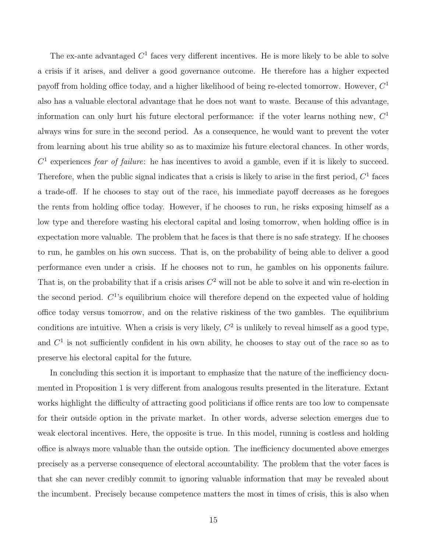The ex-ante advantaged  $C<sup>1</sup>$  faces very different incentives. He is more likely to be able to solve a crisis if it arises, and deliver a good governance outcome. He therefore has a higher expected payoff from holding office today, and a higher likelihood of being re-elected tomorrow. However,  $C<sup>1</sup>$ also has a valuable electoral advantage that he does not want to waste. Because of this advantage, information can only hurt his future electoral performance: if the voter learns nothing new,  $C<sup>1</sup>$ always wins for sure in the second period. As a consequence, he would want to prevent the voter from learning about his true ability so as to maximize his future electoral chances. In other words,  $C<sup>1</sup>$  experiences *fear of failure*: he has incentives to avoid a gamble, even if it is likely to succeed. Therefore, when the public signal indicates that a crisis is likely to arise in the first period,  $C<sup>1</sup>$  faces a trade-off. If he chooses to stay out of the race, his immediate payoff decreases as he foregoes the rents from holding office today. However, if he chooses to run, he risks exposing himself as a low type and therefore wasting his electoral capital and losing tomorrow, when holding office is in expectation more valuable. The problem that he faces is that there is no safe strategy. If he chooses to run, he gambles on his own success. That is, on the probability of being able to deliver a good performance even under a crisis. If he chooses not to run, he gambles on his opponents failure. That is, on the probability that if a crisis arises  $C<sup>2</sup>$  will not be able to solve it and win re-election in the second period.  $C^1$ 's equilibrium choice will therefore depend on the expected value of holding office today versus tomorrow, and on the relative riskiness of the two gambles. The equilibrium conditions are intuitive. When a crisis is very likely,  $C^2$  is unlikely to reveal himself as a good type, and  $C<sup>1</sup>$  is not sufficiently confident in his own ability, he chooses to stay out of the race so as to preserve his electoral capital for the future.

In concluding this section it is important to emphasize that the nature of the inefficiency documented in Proposition 1 is very different from analogous results presented in the literature. Extant works highlight the difficulty of attracting good politicians if office rents are too low to compensate for their outside option in the private market. In other words, adverse selection emerges due to weak electoral incentives. Here, the opposite is true. In this model, running is costless and holding office is always more valuable than the outside option. The inefficiency documented above emerges precisely as a perverse consequence of electoral accountability. The problem that the voter faces is that she can never credibly commit to ignoring valuable information that may be revealed about the incumbent. Precisely because competence matters the most in times of crisis, this is also when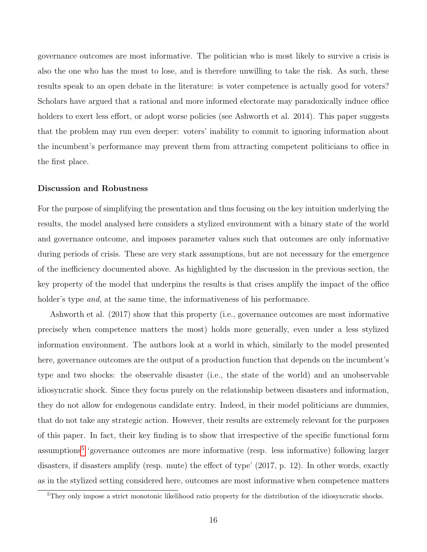governance outcomes are most informative. The politician who is most likely to survive a crisis is also the one who has the most to lose, and is therefore unwilling to take the risk. As such, these results speak to an open debate in the literature: is voter competence is actually good for voters? Scholars have argued that a rational and more informed electorate may paradoxically induce office holders to exert less effort, or adopt worse policies (see Ashworth et al. 2014). This paper suggests that the problem may run even deeper: voters' inability to commit to ignoring information about the incumbent's performance may prevent them from attracting competent politicians to office in the first place.

#### Discussion and Robustness

For the purpose of simplifying the presentation and thus focusing on the key intuition underlying the results, the model analysed here considers a stylized environment with a binary state of the world and governance outcome, and imposes parameter values such that outcomes are only informative during periods of crisis. These are very stark assumptions, but are not necessary for the emergence of the inefficiency documented above. As highlighted by the discussion in the previous section, the key property of the model that underpins the results is that crises amplify the impact of the office holder's type *and*, at the same time, the informativeness of his performance.

Ashworth et al. (2017) show that this property (i.e., governance outcomes are most informative precisely when competence matters the most) holds more generally, even under a less stylized information environment. The authors look at a world in which, similarly to the model presented here, governance outcomes are the output of a production function that depends on the incumbent's type and two shocks: the observable disaster (i.e., the state of the world) and an unobservable idiosyncratic shock. Since they focus purely on the relationship between disasters and information, they do not allow for endogenous candidate entry. Indeed, in their model politicians are dummies, that do not take any strategic action. However, their results are extremely relevant for the purposes of this paper. In fact, their key finding is to show that irrespective of the specific functional form assumptions<sup>[5](#page-0-0)</sup> 'governance outcomes are more informative (resp. less informative) following larger disasters, if disasters amplify (resp. mute) the effect of type' (2017, p. 12). In other words, exactly as in the stylized setting considered here, outcomes are most informative when competence matters

<sup>&</sup>lt;sup>5</sup>They only impose a strict monotonic likelihood ratio property for the distribution of the idiosyncratic shocks.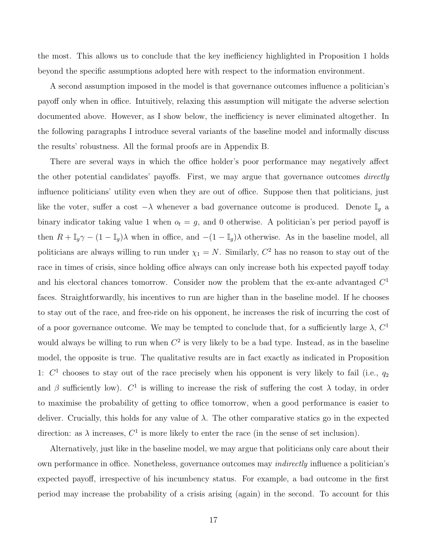the most. This allows us to conclude that the key inefficiency highlighted in Proposition 1 holds beyond the specific assumptions adopted here with respect to the information environment.

A second assumption imposed in the model is that governance outcomes influence a politician's payoff only when in office. Intuitively, relaxing this assumption will mitigate the adverse selection documented above. However, as I show below, the inefficiency is never eliminated altogether. In the following paragraphs I introduce several variants of the baseline model and informally discuss the results' robustness. All the formal proofs are in Appendix B.

There are several ways in which the office holder's poor performance may negatively affect the other potential candidates' payoffs. First, we may argue that governance outcomes directly influence politicians' utility even when they are out of office. Suppose then that politicians, just like the voter, suffer a cost  $-\lambda$  whenever a bad governance outcome is produced. Denote  $\mathbb{I}_q$  a binary indicator taking value 1 when  $o_t = g$ , and 0 otherwise. A politician's per period payoff is then  $R + \mathbb{I}_g \gamma - (1 - \mathbb{I}_g) \lambda$  when in office, and  $-(1 - \mathbb{I}_g) \lambda$  otherwise. As in the baseline model, all politicians are always willing to run under  $\chi_1 = N$ . Similarly,  $C^2$  has no reason to stay out of the race in times of crisis, since holding office always can only increase both his expected payoff today and his electoral chances tomorrow. Consider now the problem that the ex-ante advantaged  $C<sup>1</sup>$ faces. Straightforwardly, his incentives to run are higher than in the baseline model. If he chooses to stay out of the race, and free-ride on his opponent, he increases the risk of incurring the cost of of a poor governance outcome. We may be tempted to conclude that, for a sufficiently large  $\lambda$ ,  $C^1$ would always be willing to run when  $C^2$  is very likely to be a bad type. Instead, as in the baseline model, the opposite is true. The qualitative results are in fact exactly as indicated in Proposition 1:  $C<sup>1</sup>$  chooses to stay out of the race precisely when his opponent is very likely to fail (i.e.,  $q_2$ ) and  $\beta$  sufficiently low).  $C^1$  is willing to increase the risk of suffering the cost  $\lambda$  today, in order to maximise the probability of getting to office tomorrow, when a good performance is easier to deliver. Crucially, this holds for any value of  $\lambda$ . The other comparative statics go in the expected direction: as  $\lambda$  increases,  $C^1$  is more likely to enter the race (in the sense of set inclusion).

Alternatively, just like in the baseline model, we may argue that politicians only care about their own performance in office. Nonetheless, governance outcomes may indirectly influence a politician's expected payoff, irrespective of his incumbency status. For example, a bad outcome in the first period may increase the probability of a crisis arising (again) in the second. To account for this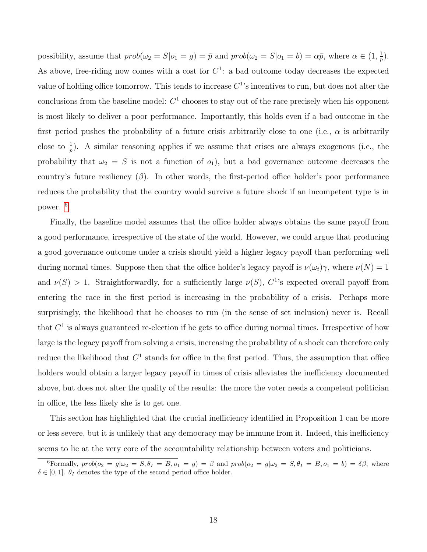possibility, assume that  $prob(\omega_2 = S | o_1 = g) = \bar{p}$  and  $prob(\omega_2 = S | o_1 = b) = \alpha \bar{p}$ , where  $\alpha \in (1, \frac{1}{\bar{n}})$  $\frac{1}{\bar{p}}).$ As above, free-riding now comes with a cost for  $C<sup>1</sup>$ : a bad outcome today decreases the expected value of holding office tomorrow. This tends to increase  $C^1$ 's incentives to run, but does not alter the conclusions from the baseline model:  $C<sup>1</sup>$  chooses to stay out of the race precisely when his opponent is most likely to deliver a poor performance. Importantly, this holds even if a bad outcome in the first period pushes the probability of a future crisis arbitrarily close to one (i.e.,  $\alpha$  is arbitrarily close to  $\frac{1}{p}$ ). A similar reasoning applies if we assume that crises are always exogenous (i.e., the probability that  $\omega_2 = S$  is not a function of  $o_1$ ), but a bad governance outcome decreases the country's future resiliency  $(\beta)$ . In other words, the first-period office holder's poor performance reduces the probability that the country would survive a future shock if an incompetent type is in power. [6](#page-0-0)

Finally, the baseline model assumes that the office holder always obtains the same payoff from a good performance, irrespective of the state of the world. However, we could argue that producing a good governance outcome under a crisis should yield a higher legacy payoff than performing well during normal times. Suppose then that the office holder's legacy payoff is  $\nu(\omega_t)\gamma$ , where  $\nu(N) = 1$ and  $\nu(S) > 1$ . Straightforwardly, for a sufficiently large  $\nu(S)$ ,  $C^1$ 's expected overall payoff from entering the race in the first period is increasing in the probability of a crisis. Perhaps more surprisingly, the likelihood that he chooses to run (in the sense of set inclusion) never is. Recall that  $C<sup>1</sup>$  is always guaranteed re-election if he gets to office during normal times. Irrespective of how large is the legacy payoff from solving a crisis, increasing the probability of a shock can therefore only reduce the likelihood that  $C<sup>1</sup>$  stands for office in the first period. Thus, the assumption that office holders would obtain a larger legacy payoff in times of crisis alleviates the inefficiency documented above, but does not alter the quality of the results: the more the voter needs a competent politician in office, the less likely she is to get one.

This section has highlighted that the crucial inefficiency identified in Proposition 1 can be more or less severe, but it is unlikely that any democracy may be immune from it. Indeed, this inefficiency seems to lie at the very core of the accountability relationship between voters and politicians.

<sup>&</sup>lt;sup>6</sup>Formally,  $prob(o_2 = g | \omega_2 = S, \theta_I = B, o_1 = g) = \beta$  and  $prob(o_2 = g | \omega_2 = S, \theta_I = B, o_1 = b) = \delta \beta$ , where  $\delta \in [0,1]$ .  $\theta_I$  denotes the type of the second period office holder.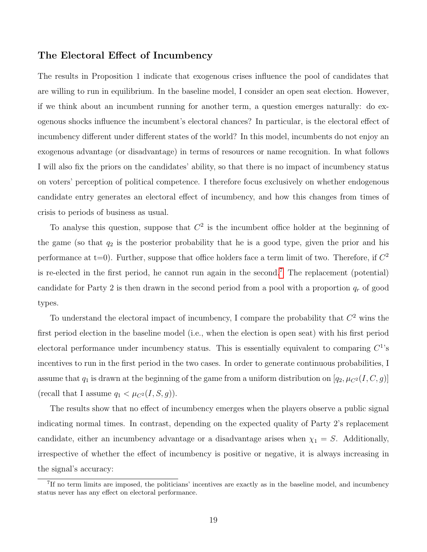### The Electoral Effect of Incumbency

The results in Proposition 1 indicate that exogenous crises influence the pool of candidates that are willing to run in equilibrium. In the baseline model, I consider an open seat election. However, if we think about an incumbent running for another term, a question emerges naturally: do exogenous shocks influence the incumbent's electoral chances? In particular, is the electoral effect of incumbency different under different states of the world? In this model, incumbents do not enjoy an exogenous advantage (or disadvantage) in terms of resources or name recognition. In what follows I will also fix the priors on the candidates' ability, so that there is no impact of incumbency status on voters' perception of political competence. I therefore focus exclusively on whether endogenous candidate entry generates an electoral effect of incumbency, and how this changes from times of crisis to periods of business as usual.

To analyse this question, suppose that  $C<sup>2</sup>$  is the incumbent office holder at the beginning of the game (so that  $q_2$  is the posterior probability that he is a good type, given the prior and his performance at t=0). Further, suppose that office holders face a term limit of two. Therefore, if  $C^2$ is re-elected in the first period, he cannot run again in the second.[7](#page-0-0) The replacement (potential) candidate for Party 2 is then drawn in the second period from a pool with a proportion  $q_r$  of good types.

To understand the electoral impact of incumbency, I compare the probability that  $C<sup>2</sup>$  wins the first period election in the baseline model (i.e., when the election is open seat) with his first period electoral performance under incumbency status. This is essentially equivalent to comparing  $C^1$ 's incentives to run in the first period in the two cases. In order to generate continuous probabilities, I assume that  $q_1$  is drawn at the beginning of the game from a uniform distribution on  $[q_2, \mu_{C^2}(I, C, g)]$ (recall that I assume  $q_1 < \mu_{C^2}(I, S, g)$ ).

The results show that no effect of incumbency emerges when the players observe a public signal indicating normal times. In contrast, depending on the expected quality of Party 2's replacement candidate, either an incumbency advantage or a disadvantage arises when  $\chi_1 = S$ . Additionally, irrespective of whether the effect of incumbency is positive or negative, it is always increasing in the signal's accuracy:

<sup>&</sup>lt;sup>7</sup>If no term limits are imposed, the politicians' incentives are exactly as in the baseline model, and incumbency status never has any effect on electoral performance.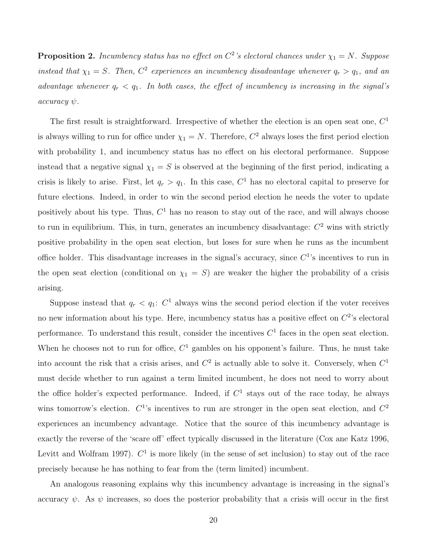**Proposition 2.** Incumbency status has no effect on  $C^2$ 's electoral chances under  $\chi_1 = N$ . Suppose instead that  $\chi_1 = S$ . Then,  $C^2$  experiences an incumbency disadvantage whenever  $q_r > q_1$ , and an advantage whenever  $q_r < q_1$ . In both cases, the effect of incumbency is increasing in the signal's  $accuracy \psi$ .

The first result is straightforward. Irrespective of whether the election is an open seat one,  $C<sup>1</sup>$ is always willing to run for office under  $\chi_1 = N$ . Therefore,  $C^2$  always loses the first period election with probability 1, and incumbency status has no effect on his electoral performance. Suppose instead that a negative signal  $\chi_1 = S$  is observed at the beginning of the first period, indicating a crisis is likely to arise. First, let  $q_r > q_1$ . In this case,  $C^1$  has no electoral capital to preserve for future elections. Indeed, in order to win the second period election he needs the voter to update positively about his type. Thus,  $C<sup>1</sup>$  has no reason to stay out of the race, and will always choose to run in equilibrium. This, in turn, generates an incumbency disadvantage:  $C<sup>2</sup>$  wins with strictly positive probability in the open seat election, but loses for sure when he runs as the incumbent office holder. This disadvantage increases in the signal's accuracy, since  $C<sup>1</sup>$ 's incentives to run in the open seat election (conditional on  $\chi_1 = S$ ) are weaker the higher the probability of a crisis arising.

Suppose instead that  $q_r < q_1$ :  $C^1$  always wins the second period election if the voter receives no new information about his type. Here, incumbency status has a positive effect on  $C^2$ 's electoral performance. To understand this result, consider the incentives  $C<sup>1</sup>$  faces in the open seat election. When he chooses not to run for office,  $C<sup>1</sup>$  gambles on his opponent's failure. Thus, he must take into account the risk that a crisis arises, and  $C^2$  is actually able to solve it. Conversely, when  $C^1$ must decide whether to run against a term limited incumbent, he does not need to worry about the office holder's expected performance. Indeed, if  $C<sup>1</sup>$  stays out of the race today, he always wins tomorrow's election.  $C^1$ 's incentives to run are stronger in the open seat election, and  $C^2$ experiences an incumbency advantage. Notice that the source of this incumbency advantage is exactly the reverse of the 'scare off' effect typically discussed in the literature (Cox ane Katz 1996, Levitt and Wolfram 1997).  $C^1$  is more likely (in the sense of set inclusion) to stay out of the race precisely because he has nothing to fear from the (term limited) incumbent.

An analogous reasoning explains why this incumbency advantage is increasing in the signal's accuracy  $\psi$ . As  $\psi$  increases, so does the posterior probability that a crisis will occur in the first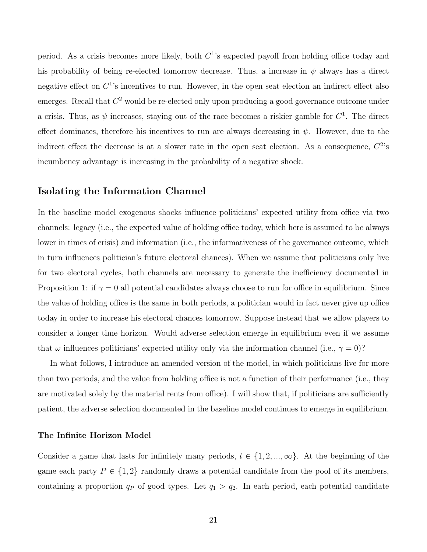period. As a crisis becomes more likely, both  $C^1$ 's expected payoff from holding office today and his probability of being re-elected tomorrow decrease. Thus, a increase in  $\psi$  always has a direct negative effect on  $C^1$ 's incentives to run. However, in the open seat election an indirect effect also emerges. Recall that  $C^2$  would be re-elected only upon producing a good governance outcome under a crisis. Thus, as  $\psi$  increases, staying out of the race becomes a riskier gamble for  $C^1$ . The direct effect dominates, therefore his incentives to run are always decreasing in  $\psi$ . However, due to the indirect effect the decrease is at a slower rate in the open seat election. As a consequence,  $C^2$ 's incumbency advantage is increasing in the probability of a negative shock.

### Isolating the Information Channel

In the baseline model exogenous shocks influence politicians' expected utility from office via two channels: legacy (i.e., the expected value of holding office today, which here is assumed to be always lower in times of crisis) and information (i.e., the informativeness of the governance outcome, which in turn influences politician's future electoral chances). When we assume that politicians only live for two electoral cycles, both channels are necessary to generate the inefficiency documented in Proposition 1: if  $\gamma = 0$  all potential candidates always choose to run for office in equilibrium. Since the value of holding office is the same in both periods, a politician would in fact never give up office today in order to increase his electoral chances tomorrow. Suppose instead that we allow players to consider a longer time horizon. Would adverse selection emerge in equilibrium even if we assume that  $\omega$  influences politicians' expected utility only via the information channel (i.e.,  $\gamma = 0$ )?

In what follows, I introduce an amended version of the model, in which politicians live for more than two periods, and the value from holding office is not a function of their performance (i.e., they are motivated solely by the material rents from office). I will show that, if politicians are sufficiently patient, the adverse selection documented in the baseline model continues to emerge in equilibrium.

#### The Infinite Horizon Model

Consider a game that lasts for infinitely many periods,  $t \in \{1, 2, ..., \infty\}$ . At the beginning of the game each party  $P \in \{1,2\}$  randomly draws a potential candidate from the pool of its members, containing a proportion  $q_P$  of good types. Let  $q_1 > q_2$ . In each period, each potential candidate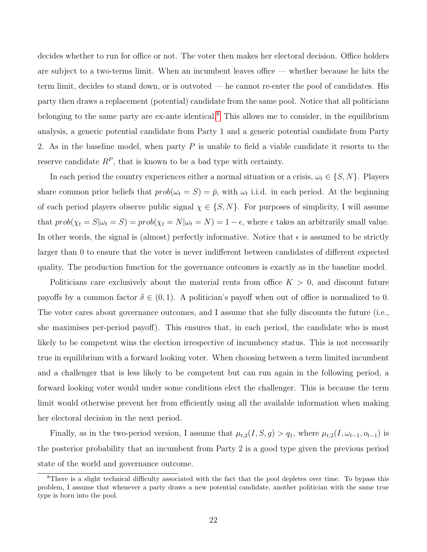decides whether to run for office or not. The voter then makes her electoral decision. Office holders are subject to a two-terms limit. When an incumbent leaves office — whether because he hits the term limit, decides to stand down, or is outvoted — he cannot re-enter the pool of candidates. His party then draws a replacement (potential) candidate from the same pool. Notice that all politicians belonging to the same party are ex-ante identical.<sup>[8](#page-0-0)</sup> This allows me to consider, in the equilibrium analysis, a generic potential candidate from Party 1 and a generic potential candidate from Party 2. As in the baseline model, when party  $P$  is unable to field a viable candidate it resorts to the reserve candidate  $R^P$ , that is known to be a bad type with certainty.

In each period the country experiences either a normal situation or a crisis,  $\omega_t \in \{S, N\}$ . Players share common prior beliefs that  $prob(\omega_t = S) = \bar{p}$ , with  $\omega_t$  i.i.d. in each period. At the beginning of each period players observe public signal  $\chi \in \{S, N\}$ . For purposes of simplicity, I will assume that  $prob(\chi_t = S | \omega_t = S) = prob(\chi_t = N | \omega_t = N) = 1 - \epsilon$ , where  $\epsilon$  takes an arbitrarily small value. In other words, the signal is (almost) perfectly informative. Notice that  $\epsilon$  is assumed to be strictly larger than 0 to ensure that the voter is never indifferent between candidates of different expected quality. The production function for the governance outcomes is exactly as in the baseline model.

Politicians care exclusively about the material rents from office  $K > 0$ , and discount future payoffs by a common factor  $\delta \in (0,1)$ . A politician's payoff when out of office is normalized to 0. The voter cares about governance outcomes, and I assume that she fully discounts the future (i.e., she maximises per-period payoff). This ensures that, in each period, the candidate who is most likely to be competent wins the election irrespective of incumbency status. This is not necessarily true in equilibrium with a forward looking voter. When choosing between a term limited incumbent and a challenger that is less likely to be competent but can run again in the following period, a forward looking voter would under some conditions elect the challenger. This is because the term limit would otherwise prevent her from efficiently using all the available information when making her electoral decision in the next period.

Finally, as in the two-period version, I assume that  $\mu_{t,2}(I, S, g) > q_1$ , where  $\mu_{t,2}(I, \omega_{t-1}, o_{t-1})$  is the posterior probability that an incumbent from Party 2 is a good type given the previous period state of the world and governance outcome.

<sup>&</sup>lt;sup>8</sup>There is a slight technical difficulty associated with the fact that the pool depletes over time. To bypass this problem, I assume that whenever a party draws a new potential candidate, another politician with the same true type is born into the pool.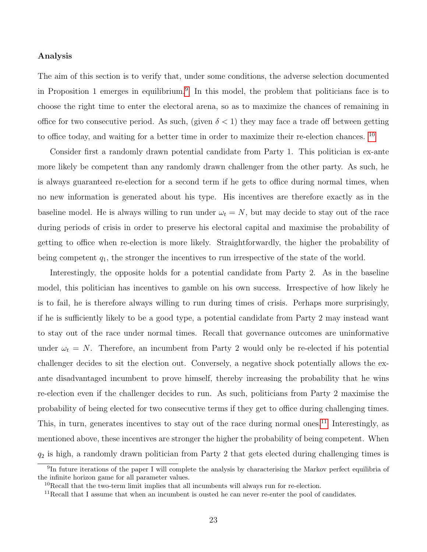#### Analysis

The aim of this section is to verify that, under some conditions, the adverse selection documented in Proposition 1 emerges in equilibrium.<sup>[9](#page-0-0)</sup> In this model, the problem that politicians face is to choose the right time to enter the electoral arena, so as to maximize the chances of remaining in office for two consecutive period. As such, (given  $\delta < 1$ ) they may face a trade off between getting to office today, and waiting for a better time in order to maximize their re-election chances. [10](#page-0-0)

Consider first a randomly drawn potential candidate from Party 1. This politician is ex-ante more likely be competent than any randomly drawn challenger from the other party. As such, he is always guaranteed re-election for a second term if he gets to office during normal times, when no new information is generated about his type. His incentives are therefore exactly as in the baseline model. He is always willing to run under  $\omega_t = N$ , but may decide to stay out of the race during periods of crisis in order to preserve his electoral capital and maximise the probability of getting to office when re-election is more likely. Straightforwardly, the higher the probability of being competent  $q_1$ , the stronger the incentives to run irrespective of the state of the world.

Interestingly, the opposite holds for a potential candidate from Party 2. As in the baseline model, this politician has incentives to gamble on his own success. Irrespective of how likely he is to fail, he is therefore always willing to run during times of crisis. Perhaps more surprisingly, if he is sufficiently likely to be a good type, a potential candidate from Party 2 may instead want to stay out of the race under normal times. Recall that governance outcomes are uninformative under  $\omega_t = N$ . Therefore, an incumbent from Party 2 would only be re-elected if his potential challenger decides to sit the election out. Conversely, a negative shock potentially allows the exante disadvantaged incumbent to prove himself, thereby increasing the probability that he wins re-election even if the challenger decides to run. As such, politicians from Party 2 maximise the probability of being elected for two consecutive terms if they get to office during challenging times. This, in turn, generates incentives to stay out of the race during normal ones.<sup>[11](#page-0-0)</sup> Interestingly, as mentioned above, these incentives are stronger the higher the probability of being competent. When  $q_2$  is high, a randomly drawn politician from Party 2 that gets elected during challenging times is

<sup>&</sup>lt;sup>9</sup>In future iterations of the paper I will complete the analysis by characterising the Markov perfect equilibria of the infinite horizon game for all parameter values.

 $10$ Recall that the two-term limit implies that all incumbents will always run for re-election.

 $11$ Recall that I assume that when an incumbent is ousted he can never re-enter the pool of candidates.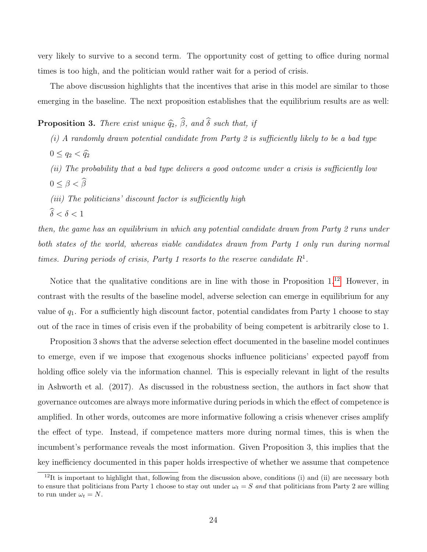very likely to survive to a second term. The opportunity cost of getting to office during normal times is too high, and the politician would rather wait for a period of crisis.

The above discussion highlights that the incentives that arise in this model are similar to those emerging in the baseline. The next proposition establishes that the equilibrium results are as well:

**Proposition 3.** There exist unique  $\widehat{q}_2$ ,  $\widehat{\beta}$ , and  $\widehat{\delta}$  such that, if

- (i) A randomly drawn potential candidate from Party 2 is sufficiently likely to be a bad type  $0 \leq q_2 < \hat{q}_2$ (ii) The probability that a bad type delivers a good outcome under a crisis is sufficiently low  $0 \leq \beta < \widehat{\beta}$
- (iii) The politicians' discount factor is sufficiently high

 $\widehat{\delta} < \delta < 1$ 

then, the game has an equilibrium in which any potential candidate drawn from Party 2 runs under both states of the world, whereas viable candidates drawn from Party 1 only run during normal times. During periods of crisis, Party 1 resorts to the reserve candidate  $R<sup>1</sup>$ .

Notice that the qualitative conditions are in line with those in Proposition  $1<sup>12</sup>$  $1<sup>12</sup>$  $1<sup>12</sup>$  However, in contrast with the results of the baseline model, adverse selection can emerge in equilibrium for any value of  $q_1$ . For a sufficiently high discount factor, potential candidates from Party 1 choose to stay out of the race in times of crisis even if the probability of being competent is arbitrarily close to 1.

Proposition 3 shows that the adverse selection effect documented in the baseline model continues to emerge, even if we impose that exogenous shocks influence politicians' expected payoff from holding office solely via the information channel. This is especially relevant in light of the results in Ashworth et al. (2017). As discussed in the robustness section, the authors in fact show that governance outcomes are always more informative during periods in which the effect of competence is amplified. In other words, outcomes are more informative following a crisis whenever crises amplify the effect of type. Instead, if competence matters more during normal times, this is when the incumbent's performance reveals the most information. Given Proposition 3, this implies that the key inefficiency documented in this paper holds irrespective of whether we assume that competence

 $12$ It is important to highlight that, following from the discussion above, conditions (i) and (ii) are necessary both to ensure that politicians from Party 1 choose to stay out under  $\omega_t = S$  and that politicians from Party 2 are willing to run under  $\omega_t = N$ .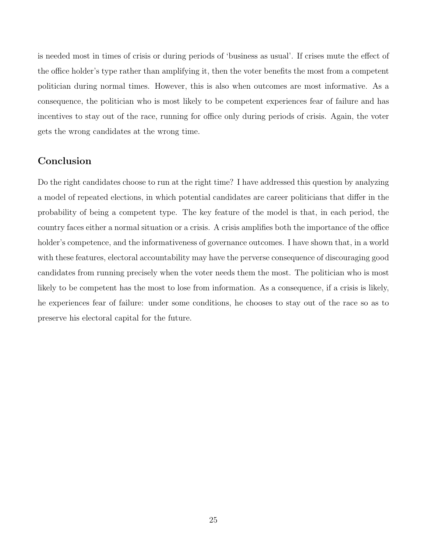is needed most in times of crisis or during periods of 'business as usual'. If crises mute the effect of the office holder's type rather than amplifying it, then the voter benefits the most from a competent politician during normal times. However, this is also when outcomes are most informative. As a consequence, the politician who is most likely to be competent experiences fear of failure and has incentives to stay out of the race, running for office only during periods of crisis. Again, the voter gets the wrong candidates at the wrong time.

### Conclusion

Do the right candidates choose to run at the right time? I have addressed this question by analyzing a model of repeated elections, in which potential candidates are career politicians that differ in the probability of being a competent type. The key feature of the model is that, in each period, the country faces either a normal situation or a crisis. A crisis amplifies both the importance of the office holder's competence, and the informativeness of governance outcomes. I have shown that, in a world with these features, electoral accountability may have the perverse consequence of discouraging good candidates from running precisely when the voter needs them the most. The politician who is most likely to be competent has the most to lose from information. As a consequence, if a crisis is likely, he experiences fear of failure: under some conditions, he chooses to stay out of the race so as to preserve his electoral capital for the future.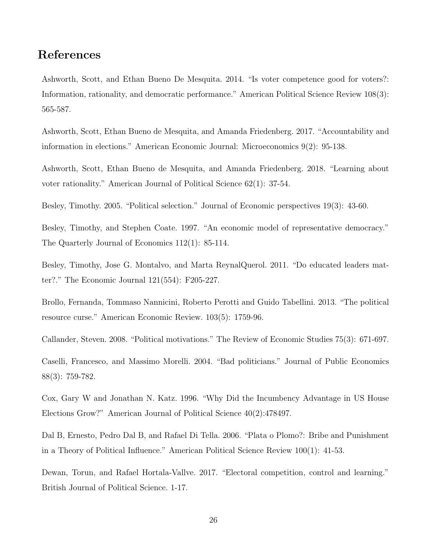# References

Ashworth, Scott, and Ethan Bueno De Mesquita. 2014. "Is voter competence good for voters?: Information, rationality, and democratic performance." American Political Science Review 108(3): 565-587.

Ashworth, Scott, Ethan Bueno de Mesquita, and Amanda Friedenberg. 2017. "Accountability and information in elections." American Economic Journal: Microeconomics 9(2): 95-138.

Ashworth, Scott, Ethan Bueno de Mesquita, and Amanda Friedenberg. 2018. "Learning about voter rationality." American Journal of Political Science 62(1): 37-54.

Besley, Timothy. 2005. "Political selection." Journal of Economic perspectives 19(3): 43-60.

Besley, Timothy, and Stephen Coate. 1997. "An economic model of representative democracy." The Quarterly Journal of Economics 112(1): 85-114.

Besley, Timothy, Jose G. Montalvo, and Marta ReynalQuerol. 2011. "Do educated leaders matter?." The Economic Journal 121(554): F205-227.

Brollo, Fernanda, Tommaso Nannicini, Roberto Perotti and Guido Tabellini. 2013. "The political resource curse." American Economic Review. 103(5): 1759-96.

Callander, Steven. 2008. "Political motivations." The Review of Economic Studies 75(3): 671-697.

Caselli, Francesco, and Massimo Morelli. 2004. "Bad politicians." Journal of Public Economics 88(3): 759-782.

Cox, Gary W and Jonathan N. Katz. 1996. "Why Did the Incumbency Advantage in US House Elections Grow?" American Journal of Political Science 40(2):478497.

Dal B, Ernesto, Pedro Dal B, and Rafael Di Tella. 2006. "Plata o Plomo?: Bribe and Punishment in a Theory of Political Influence." American Political Science Review 100(1): 41-53.

Dewan, Torun, and Rafael Hortala-Vallve. 2017. "Electoral competition, control and learning." British Journal of Political Science. 1-17.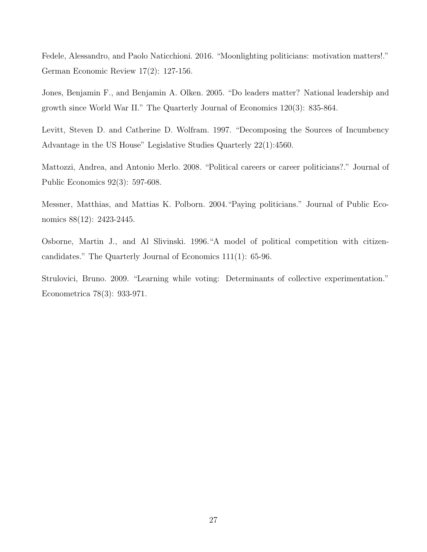Fedele, Alessandro, and Paolo Naticchioni. 2016. "Moonlighting politicians: motivation matters!." German Economic Review 17(2): 127-156.

Jones, Benjamin F., and Benjamin A. Olken. 2005. "Do leaders matter? National leadership and growth since World War II." The Quarterly Journal of Economics 120(3): 835-864.

Levitt, Steven D. and Catherine D. Wolfram. 1997. "Decomposing the Sources of Incumbency Advantage in the US House" Legislative Studies Quarterly 22(1):4560.

Mattozzi, Andrea, and Antonio Merlo. 2008. "Political careers or career politicians?." Journal of Public Economics 92(3): 597-608.

Messner, Matthias, and Mattias K. Polborn. 2004."Paying politicians." Journal of Public Economics 88(12): 2423-2445.

Osborne, Martin J., and Al Slivinski. 1996."A model of political competition with citizencandidates." The Quarterly Journal of Economics 111(1): 65-96.

Strulovici, Bruno. 2009. "Learning while voting: Determinants of collective experimentation." Econometrica 78(3): 933-971.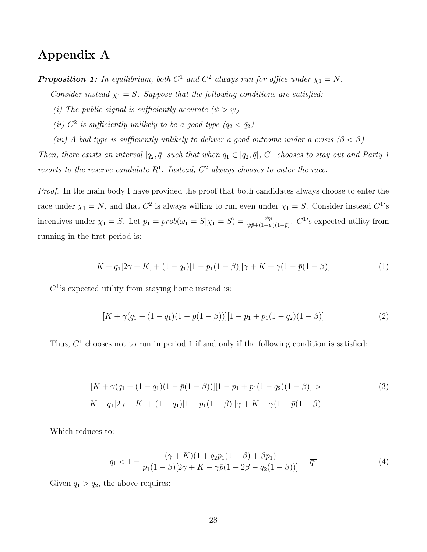# Appendix A

**Proposition 1:** In equilibrium, both  $C^1$  and  $C^2$  always run for office under  $\chi_1 = N$ .

Consider instead  $\chi_1 = S$ . Suppose that the following conditions are satisfied:

- (i) The public signal is sufficiently accurate  $(\psi > \psi)$
- (ii)  $C^2$  is sufficiently unlikely to be a good type  $(q_2 < \bar{q}_2)$
- (iii) A bad type is sufficiently unlikely to deliver a good outcome under a crisis  $(\beta < \overline{\beta})$

Then, there exists an interval  $[q_2, \bar{q}]$  such that when  $q_1 \in [q_2, \bar{q}]$ ,  $C^1$  chooses to stay out and Party 1 resorts to the reserve candidate  $R^1$ . Instead,  $C^2$  always chooses to enter the race.

Proof. In the main body I have provided the proof that both candidates always choose to enter the race under  $\chi_1 = N$ , and that  $C^2$  is always willing to run even under  $\chi_1 = S$ . Consider instead  $C^1$ 's incentives under  $\chi_1 = S$ . Let  $p_1 = prob(\omega_1 = S | \chi_1 = S) = \frac{\psi \bar{p}}{\psi \bar{p} + (1 - \psi)(1 - \bar{p})}$ . C<sup>1</sup>'s expected utility from running in the first period is:

$$
K + q_1[2\gamma + K] + (1 - q_1)[1 - p_1(1 - \beta)][\gamma + K + \gamma(1 - \bar{p}(1 - \beta))]
$$
\n(1)

 $C<sup>1</sup>$ 's expected utility from staying home instead is:

$$
[K + \gamma(q_1 + (1 - q_1)(1 - \bar{p}(1 - \beta))][1 - p_1 + p_1(1 - q_2)(1 - \beta)] \tag{2}
$$

Thus,  $C<sup>1</sup>$  chooses not to run in period 1 if and only if the following condition is satisfied:

$$
[K + \gamma(q_1 + (1 - q_1)(1 - \bar{p}(1 - \beta))][1 - p_1 + p_1(1 - q_2)(1 - \beta)] >
$$
\n
$$
K + q_1[2\gamma + K] + (1 - q_1)[1 - p_1(1 - \beta)][\gamma + K + \gamma(1 - \bar{p}(1 - \beta))]
$$
\n(3)

Which reduces to:

$$
q_1 < 1 - \frac{(\gamma + K)(1 + q_2 p_1 (1 - \beta) + \beta p_1)}{p_1 (1 - \beta) [2\gamma + K - \gamma \bar{p} (1 - 2\beta - q_2 (1 - \beta))]} = \overline{q_1}
$$
\n(4)

Given  $q_1 > q_2$ , the above requires: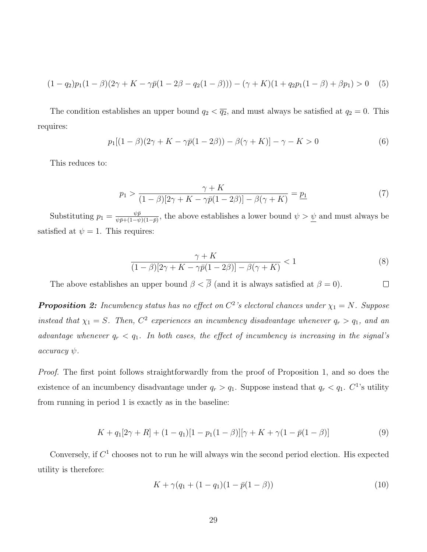$$
(1 - q_2)p_1(1 - \beta)(2\gamma + K - \gamma \bar{p}(1 - 2\beta - q_2(1 - \beta))) - (\gamma + K)(1 + q_2p_1(1 - \beta) + \beta p_1) > 0 \quad (5)
$$

The condition establishes an upper bound  $q_2 < \overline{q_2}$ , and must always be satisfied at  $q_2 = 0$ . This requires:

$$
p_1[(1 - \beta)(2\gamma + K - \gamma \bar{p}(1 - 2\beta)) - \beta(\gamma + K)] - \gamma - K > 0
$$
\n(6)

This reduces to:

$$
p_1 > \frac{\gamma + K}{(1 - \beta)[2\gamma + K - \gamma \bar{p}(1 - 2\beta)] - \beta(\gamma + K)} = \underline{p_1}
$$
\n(7)

Substituting  $p_1 = \frac{\psi \bar{p}}{\psi \bar{n} + (1 - \psi)}$  $\frac{\psi p}{\psi \bar{p} + (1-\psi)(1-\bar{p})}$ , the above establishes a lower bound  $\psi > \underline{\psi}$  and must always be satisfied at  $\psi = 1$ . This requires:

$$
\frac{\gamma + K}{(1 - \beta)[2\gamma + K - \gamma \bar{p}(1 - 2\beta)] - \beta(\gamma + K)} < 1 \tag{8}
$$

The above establishes an upper bound  $\beta < \overline{\beta}$  (and it is always satisfied at  $\beta = 0$ ).  $\Box$ 

**Proposition 2:** Incumbency status has no effect on  $C^2$ 's electoral chances under  $\chi_1 = N$ . Suppose instead that  $\chi_1 = S$ . Then,  $C^2$  experiences an incumbency disadvantage whenever  $q_r > q_1$ , and an advantage whenever  $q_r < q_1$ . In both cases, the effect of incumbency is increasing in the signal's  $accuracy \psi$ .

Proof. The first point follows straightforwardly from the proof of Proposition 1, and so does the existence of an incumbency disadvantage under  $q_r > q_1$ . Suppose instead that  $q_r < q_1$ .  $C^1$ 's utility from running in period 1 is exactly as in the baseline:

$$
K + q_1[2\gamma + R] + (1 - q_1)[1 - p_1(1 - \beta)][\gamma + K + \gamma(1 - \bar{p}(1 - \beta))]
$$
\n(9)

Conversely, if  $C<sup>1</sup>$  chooses not to run he will always win the second period election. His expected utility is therefore:

$$
K + \gamma (q_1 + (1 - q_1)(1 - \bar{p}(1 - \beta)) \tag{10}
$$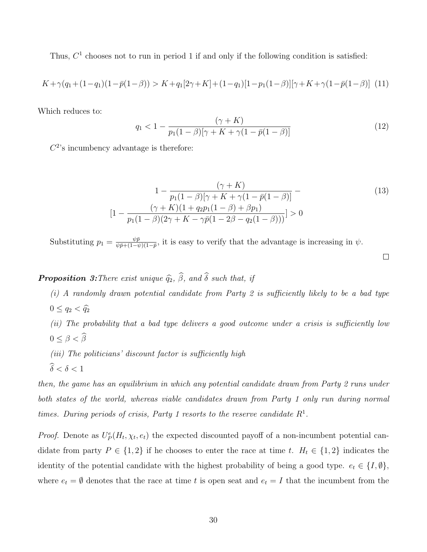Thus,  $C<sup>1</sup>$  chooses not to run in period 1 if and only if the following condition is satisfied:

$$
K + \gamma (q_1 + (1 - q_1)(1 - \bar{p}(1 - \beta)) > K + q_1[2\gamma + K] + (1 - q_1)[1 - p_1(1 - \beta)][\gamma + K + \gamma(1 - \bar{p}(1 - \beta))]
$$
(11)

Which reduces to:

$$
q_1 < 1 - \frac{(\gamma + K)}{p_1(1 - \beta)[\gamma + K + \gamma(1 - \bar{p}(1 - \beta))]}
$$
\n(12)

 $C<sup>2</sup>$ 's incumbency advantage is therefore:

$$
1 - \frac{(\gamma + K)}{p_1(1 - \beta)[\gamma + K + \gamma(1 - \bar{p}(1 - \beta))]} -
$$
  
\n
$$
[1 - \frac{(\gamma + K)(1 + q_2 p_1(1 - \beta) + \beta p_1)}{p_1(1 - \beta)(2\gamma + K - \gamma \bar{p}(1 - 2\beta - q_2(1 - \beta)))}] > 0
$$
\n(13)

 $\Box$ 

Substituting  $p_1 = \frac{\psi \bar{p}}{\psi \bar{p} + (1-\psi)}$  $\frac{\psi p}{\psi \bar{p} + (1-\psi)(1-\bar{p})}$ , it is easy to verify that the advantage is increasing in  $\psi$ .

# **Proposition 3:** There exist unique  $\widehat{q}_2$ ,  $\widehat{\beta}$ , and  $\widehat{\delta}$  such that, if

 $(i)$  A randomly drawn potential candidate from Party 2 is sufficiently likely to be a bad type  $0 \leq q_2 < \widehat{q}_2$ 

(ii) The probability that a bad type delivers a good outcome under a crisis is sufficiently low  $0 \leq \beta < \widehat{\beta}$ 

- (iii) The politicians' discount factor is sufficiently high
- $\widehat{\delta} < \delta < 1$

then, the game has an equilibrium in which any potential candidate drawn from Party 2 runs under both states of the world, whereas viable candidates drawn from Party 1 only run during normal times. During periods of crisis, Party 1 resorts to the reserve candidate  $R<sup>1</sup>$ .

*Proof.* Denote as  $U_P^e(H_t, \chi_t, e_t)$  the expected discounted payoff of a non-incumbent potential candidate from party  $P \in \{1, 2\}$  if he chooses to enter the race at time t.  $H_t \in \{1, 2\}$  indicates the identity of the potential candidate with the highest probability of being a good type.  $e_t \in \{I, \emptyset\}$ , where  $e_t = \emptyset$  denotes that the race at time t is open seat and  $e_t = I$  that the incumbent from the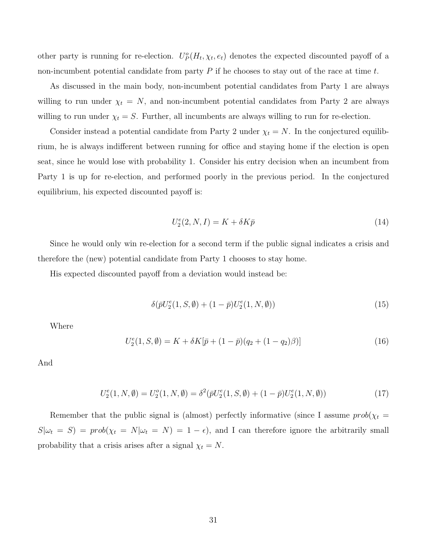other party is running for re-election.  $U_P^o(H_t, \chi_t, e_t)$  denotes the expected discounted payoff of a non-incumbent potential candidate from party  $P$  if he chooses to stay out of the race at time t.

As discussed in the main body, non-incumbent potential candidates from Party 1 are always willing to run under  $\chi_t = N$ , and non-incumbent potential candidates from Party 2 are always willing to run under  $\chi_t = S$ . Further, all incumbents are always willing to run for re-election.

Consider instead a potential candidate from Party 2 under  $\chi_t = N$ . In the conjectured equilibrium, he is always indifferent between running for office and staying home if the election is open seat, since he would lose with probability 1. Consider his entry decision when an incumbent from Party 1 is up for re-election, and performed poorly in the previous period. In the conjectured equilibrium, his expected discounted payoff is:

$$
U_2^e(2, N, I) = K + \delta K \bar{p}
$$
\n<sup>(14)</sup>

Since he would only win re-election for a second term if the public signal indicates a crisis and therefore the (new) potential candidate from Party 1 chooses to stay home.

His expected discounted payoff from a deviation would instead be:

$$
\delta(\bar{p}U_2^e(1, S, \emptyset) + (1 - \bar{p})U_2^e(1, N, \emptyset))
$$
\n(15)

Where

$$
U_2^e(1, S, \emptyset) = K + \delta K[\bar{p} + (1 - \bar{p})(q_2 + (1 - q_2)\beta)] \tag{16}
$$

And

$$
U_2^e(1, N, \emptyset) = U_2^o(1, N, \emptyset) = \delta^2(\bar{p}U_2^e(1, S, \emptyset) + (1 - \bar{p})U_2^e(1, N, \emptyset))
$$
\n(17)

Remember that the public signal is (almost) perfectly informative (since I assume  $prob(\chi_t =$  $S|\omega_t = S| = prob(\chi_t = N|\omega_t = N) = 1 - \epsilon)$ , and I can therefore ignore the arbitrarily small probability that a crisis arises after a signal  $\chi_t = N$ .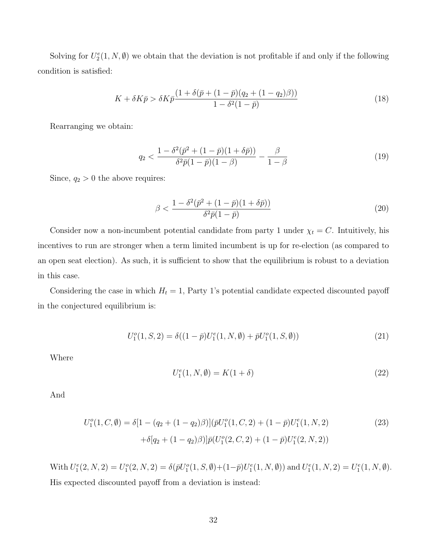Solving for  $U_2^e(1, N, \emptyset)$  we obtain that the deviation is not profitable if and only if the following condition is satisfied:

$$
K + \delta K \bar{p} > \delta K \bar{p} \frac{(1 + \delta(\bar{p} + (1 - \bar{p})(q_2 + (1 - q_2)\beta)))}{1 - \delta^2 (1 - \bar{p})}
$$
(18)

Rearranging we obtain:

$$
q_2 < \frac{1 - \delta^2(\bar{p}^2 + (1 - \bar{p})(1 + \delta\bar{p}))}{\delta^2 \bar{p}(1 - \bar{p})(1 - \beta)} - \frac{\beta}{1 - \beta} \tag{19}
$$

Since,  $q_2 > 0$  the above requires:

$$
\beta < \frac{1 - \delta^2 (\bar{p}^2 + (1 - \bar{p})(1 + \delta \bar{p}))}{\delta^2 \bar{p}(1 - \bar{p})} \tag{20}
$$

Consider now a non-incumbent potential candidate from party 1 under  $\chi_t = C$ . Intuitively, his incentives to run are stronger when a term limited incumbent is up for re-election (as compared to an open seat election). As such, it is sufficient to show that the equilibrium is robust to a deviation in this case.

Considering the case in which  $H_t = 1$ , Party 1's potential candidate expected discounted payoff in the conjectured equilibrium is:

$$
U_1^o(1, S, 2) = \delta((1 - \bar{p})U_1^e(1, N, \emptyset) + \bar{p}U_1^o(1, S, \emptyset))
$$
\n(21)

Where

$$
U_1^e(1, N, \emptyset) = K(1 + \delta) \tag{22}
$$

And

$$
U_1^o(1, C, \emptyset) = \delta[1 - (q_2 + (1 - q_2)\beta)](\bar{p}U_1^o(1, C, 2) + (1 - \bar{p})U_1^e(1, N, 2)
$$
  
 
$$
+ \delta[q_2 + (1 - q_2)\beta)]\bar{p}(U_1^o(2, C, 2) + (1 - \bar{p})U_1^e(2, N, 2))
$$
(23)

With  $U_1^e(2, N, 2) = U_1^o(2, N, 2) = \delta(\bar{p}U_1^o(1, S, \emptyset) + (1 - \bar{p})U_1^e(1, N, \emptyset))$  and  $U_1^e(1, N, 2) = U_1^e(1, N, \emptyset)$ . His expected discounted payoff from a deviation is instead: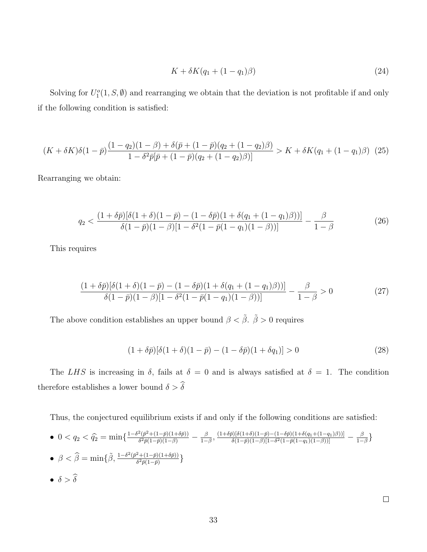$$
K + \delta K(q_1 + (1 - q_1)\beta) \tag{24}
$$

Solving for  $U_1^o(1, S, \emptyset)$  and rearranging we obtain that the deviation is not profitable if and only if the following condition is satisfied:

$$
(K+\delta K)\delta(1-\bar{p})\frac{(1-q_2)(1-\beta)+\delta(\bar{p}+(1-\bar{p})(q_2+(1-q_2)\beta)}{1-\delta^2\bar{p}[\bar{p}+(1-\bar{p})(q_2+(1-q_2)\beta)]} > K+\delta K(q_1+(1-q_1)\beta)
$$
 (25)

Rearranging we obtain:

$$
q_2 < \frac{(1+\delta\bar{p})[\delta(1+\delta)(1-\bar{p}) - (1-\delta\bar{p})(1+\delta(q_1+(1-q_1)\beta))] }{\delta(1-\bar{p})(1-\beta)[1-\delta^2(1-\bar{p}(1-q_1)(1-\beta))] } - \frac{\beta}{1-\beta}
$$
(26)

This requires

$$
\frac{(1+\delta\bar{p})[\delta(1+\delta)(1-\bar{p}) - (1-\delta\bar{p})(1+\delta(q_1+(1-q_1)\beta))] }{\delta(1-\bar{p})(1-\beta)[1-\delta^2(1-\bar{p}(1-q_1)(1-\beta))]} - \frac{\beta}{1-\beta} > 0
$$
\n(27)

The above condition establishes an upper bound  $\beta < \tilde{\beta}$ .  $\tilde{\beta} > 0$  requires

$$
(1 + \delta \bar{p})[\delta(1 + \delta)(1 - \bar{p}) - (1 - \delta \bar{p})(1 + \delta q_1)] > 0
$$
\n(28)

The LHS is increasing in  $\delta$ , fails at  $\delta = 0$  and is always satisfied at  $\delta = 1$ . The condition therefore establishes a lower bound  $\delta > \widehat{\delta}$ 

Thus, the conjectured equilibrium exists if and only if the following conditions are satisfied:

•  $0 < q_2 < \widehat{q}_2 = \min\left\{\frac{1-\delta^2(\bar{p}^2 + (1-\bar{p})(1+\delta\bar{p}))}{\delta^2 \bar{p}(1-\bar{p})(1-\beta)}\right\}$  $\frac{\beta^2(\bar p^2+(1-\bar p)(1+\delta \bar p))}{\delta^2\bar p(1-\bar p)(1-\beta)}-\frac{\beta^2}{1-\beta^2}$  $\frac{\beta}{1-\beta}, \frac{(1+\delta\bar{p})[\delta(1+\delta)(1-\bar{p})-(1-\delta\bar{p})(1+\delta(q_1+(1-q_1)\beta))] }{\delta(1-\bar{p})(1-\beta)[1-\delta^2(1-\bar{p}(1-q_1)(1-\beta))] }$  $\frac{\delta[(\delta(1+\delta)(1-\bar{p})-(1-\delta\bar{p})(1+\delta(q_1+(1-q_1)\beta))] }{\delta(1-\bar{p})(1-\beta)[1-\delta^2(1-\bar{p}(1-q_1)(1-\beta))] } -\frac{\beta}{1-\beta}$  $\frac{\beta}{1-\beta}\}$ •  $\beta < \hat{\beta} = \min\{\tilde{\beta}, \frac{1-\delta^2(\bar{p}^2+(1-\bar{p})(1+\delta\bar{p}))}{\delta^2 \bar{p}(1-\bar{p})}$  $\frac{\overline{p} + (1-p)(1+op))}{\delta^2 \bar{p}(1-\bar{p})} \}$ -  $\delta > \widehat{\delta}$ 

 $\Box$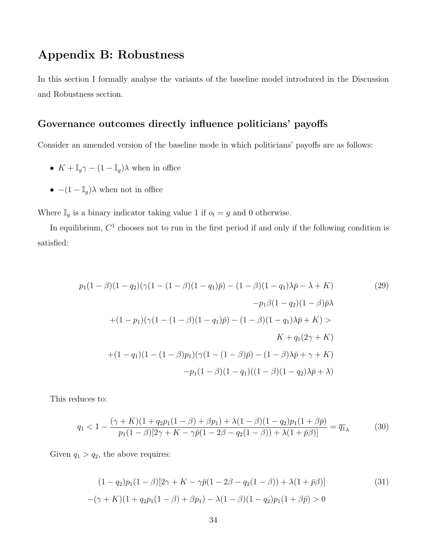# Appendix B: Robustness

In this section I formally analyse the variants of the baseline model introduced in the Discussion and Robustness section.

### Governance outcomes directly influence politicians' payoffs

Consider an amended version of the baseline mode in which politicians' payoffs are as follows:

- $K + \mathbb{I}_g \gamma (1 \mathbb{I}_g) \lambda$  when in office
- $-(1 I_g)\lambda$  when not in office

Where  $\mathbb{I}_g$  is a binary indicator taking value 1 if  $o_t = g$  and 0 otherwise.

In equilibrium,  $C<sup>1</sup>$  chooses not to run in the first period if and only if the following condition is satisfied:

$$
p_1(1 - \beta)(1 - q_2)(\gamma(1 - (1 - \beta)(1 - q_1)\bar{p}) - (1 - \beta)(1 - q_1)\lambda\bar{p} - \lambda + K)
$$
\n
$$
-p_1\beta(1 - q_2)(1 - \beta)\bar{p}\lambda
$$
\n
$$
+(1 - p_1)(\gamma(1 - (1 - \beta)(1 - q_1)\bar{p}) - (1 - \beta)(1 - q_1)\lambda\bar{p} + K) >
$$
\n
$$
K + q_1(2\gamma + K)
$$
\n
$$
+(1 - q_1)(1 - (1 - \beta)p_1)(\gamma(1 - (1 - \beta)\bar{p}) - (1 - \beta)\lambda\bar{p} + \gamma + K)
$$
\n
$$
-p_1(1 - \beta)(1 - q_1)((1 - \beta)(1 - q_2)\lambda\bar{p} + \lambda)
$$
\n(29)

This reduces to:

$$
q_1 < 1 - \frac{(\gamma + K)(1 + q_2 p_1 (1 - \beta) + \beta p_1) + \lambda (1 - \beta)(1 - q_2) p_1 (1 + \beta \bar{p})}{p_1 (1 - \beta) [2\gamma + K - \gamma \bar{p}(1 - 2\beta - q_2 (1 - \beta)) + \lambda (1 + \bar{p}\beta)]} = \bar{q}_1 \tag{30}
$$

Given  $q_1 > q_2$ , the above requires:

$$
(1 - q_2)p_1(1 - \beta)[2\gamma + K - \gamma\bar{p}(1 - 2\beta - q_2(1 - \beta)) + \lambda(1 + \bar{p}\beta)]
$$
\n
$$
-(\gamma + K)(1 + q_2p_1(1 - \beta) + \beta p_1) - \lambda(1 - \beta)(1 - q_2)p_1(1 + \beta\bar{p}) > 0
$$
\n
$$
(31)
$$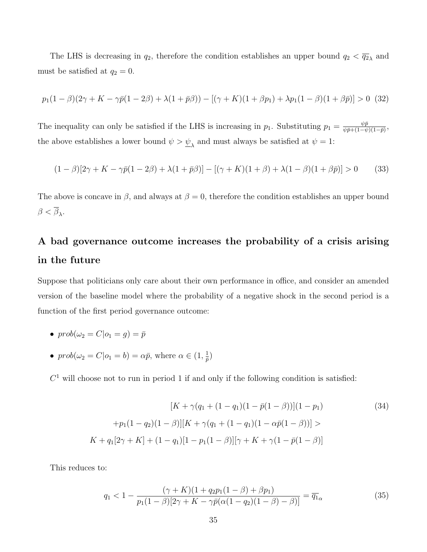The LHS is decreasing in  $q_2$ , therefore the condition establishes an upper bound  $q_2 < \overline{q_2}$  and must be satisfied at  $q_2 = 0$ .

$$
p_1(1-\beta)(2\gamma + K - \gamma \bar{p}(1-2\beta) + \lambda(1+\bar{p}\beta)) - [(\gamma + K)(1+\beta p_1) + \lambda p_1(1-\beta)(1+\beta \bar{p})] > 0
$$
 (32)

The inequality can only be satisfied if the LHS is increasing in  $p_1$ . Substituting  $p_1 = \frac{\psi \bar{p}}{\psi \bar{p} + (1-\psi)}$  $\frac{\psi\bar{p}}{\psi\bar{p}+(1-\psi)(1-\bar{p})},$ the above establishes a lower bound  $\psi > \underline{\psi}_{\lambda}$  and must always be satisfied at  $\psi = 1$ :

$$
(1 - \beta)[2\gamma + K - \gamma \bar{p}(1 - 2\beta) + \lambda(1 + \bar{p}\beta)] - [(\gamma + K)(1 + \beta) + \lambda(1 - \beta)(1 + \beta \bar{p})] > 0
$$
 (33)

The above is concave in  $\beta$ , and always at  $\beta = 0$ , therefore the condition establishes an upper bound  $\beta < \beta_{\lambda}$ .

# A bad governance outcome increases the probability of a crisis arising in the future

Suppose that politicians only care about their own performance in office, and consider an amended version of the baseline model where the probability of a negative shock in the second period is a function of the first period governance outcome:

- $prob(\omega_2 = C | o_1 = q) = \overline{p}$
- $prob(\omega_2 = C | o_1 = b) = \alpha \bar{p}$ , where  $\alpha \in (1, \frac{1}{\bar{n}})$  $\frac{1}{\bar{p}})$

 $C<sup>1</sup>$  will choose not to run in period 1 if and only if the following condition is satisfied:

$$
[K + \gamma(q_1 + (1 - q_1)(1 - \bar{p}(1 - \beta))](1 - p_1)
$$
\n
$$
+ p_1(1 - q_2)(1 - \beta)][K + \gamma(q_1 + (1 - q_1)(1 - \alpha \bar{p}(1 - \beta))] >
$$
\n
$$
K + q_1[2\gamma + K] + (1 - q_1)[1 - p_1(1 - \beta)][\gamma + K + \gamma(1 - \bar{p}(1 - \beta))]
$$
\n(34)

This reduces to:

$$
q_1 < 1 - \frac{(\gamma + K)(1 + q_2 p_1 (1 - \beta) + \beta p_1)}{p_1 (1 - \beta)[2\gamma + K - \gamma \bar{p}(\alpha(1 - q_2)(1 - \beta) - \beta)]} = \overline{q_1}_{\alpha} \tag{35}
$$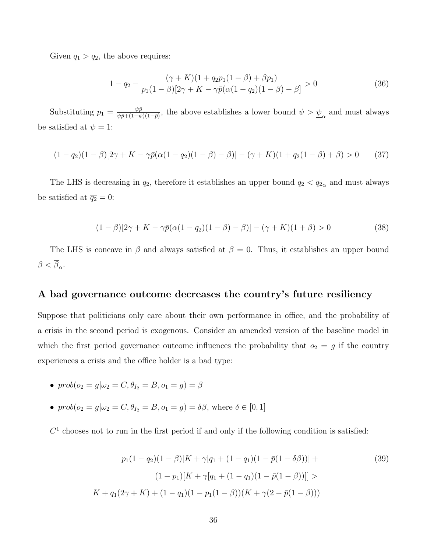Given  $q_1 > q_2$ , the above requires:

$$
1 - q_2 - \frac{(\gamma + K)(1 + q_2 p_1 (1 - \beta) + \beta p_1)}{p_1 (1 - \beta)[2\gamma + K - \gamma \bar{p}(\alpha(1 - q_2)(1 - \beta) - \beta]} > 0
$$
\n(36)

Substituting  $p_1 = \frac{\psi \bar{p}}{\psi \bar{n} + (1 - \psi)}$  $\frac{\psi\bar{p}}{\psi\bar{p}+(1-\psi)(1-\bar{p})}$ , the above establishes a lower bound  $\psi > \underline{\psi}_{\alpha}$  and must always be satisfied at  $\psi = 1$ :

$$
(1 - q_2)(1 - \beta)[2\gamma + K - \gamma \bar{p}(\alpha(1 - q_2)(1 - \beta) - \beta)] - (\gamma + K)(1 + q_2(1 - \beta) + \beta) > 0
$$
 (37)

The LHS is decreasing in  $q_2$ , therefore it establishes an upper bound  $q_2 < \overline{q_2}_{\alpha}$  and must always be satisfied at  $\overline{q_2} = 0$ :

$$
(1 - \beta)[2\gamma + K - \gamma \bar{p}(\alpha(1 - q_2)(1 - \beta) - \beta)] - (\gamma + K)(1 + \beta) > 0
$$
\n(38)

The LHS is concave in  $\beta$  and always satisfied at  $\beta = 0$ . Thus, it establishes an upper bound  $\beta < \beta_{\alpha}$ .

### A bad governance outcome decreases the country's future resiliency

Suppose that politicians only care about their own performance in office, and the probability of a crisis in the second period is exogenous. Consider an amended version of the baseline model in which the first period governance outcome influences the probability that  $o_2 = g$  if the country experiences a crisis and the office holder is a bad type:

- $prob(o_2 = q | \omega_2 = C, \theta_{I_2} = B, o_1 = q) = \beta$
- $prob(o_2 = g | \omega_2 = C, \theta_{I_2} = B, o_1 = g) = \delta \beta$ , where  $\delta \in [0, 1]$

 $C<sup>1</sup>$  chooses not to run in the first period if and only if the following condition is satisfied:

$$
p_1(1-q_2)(1-\beta)[K+\gamma[q_1+(1-q_1)(1-\bar{p}(1-\delta\beta))] +
$$
  
\n
$$
(1-p_1)[K+\gamma[q_1+(1-q_1)(1-\bar{p}(1-\beta))]] >
$$
  
\n
$$
K+q_1(2\gamma+K)+(1-q_1)(1-p_1(1-\beta))(K+\gamma(2-\bar{p}(1-\beta)))
$$
\n(39)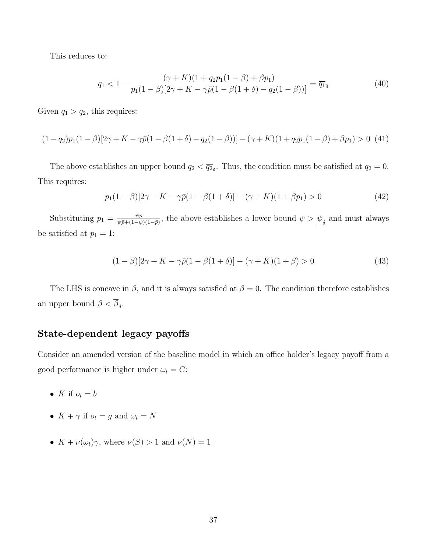This reduces to:

$$
q_1 < 1 - \frac{(\gamma + K)(1 + q_2 p_1 (1 - \beta) + \beta p_1)}{p_1 (1 - \beta)[2\gamma + K - \gamma \bar{p}(1 - \beta(1 + \delta) - q_2 (1 - \beta))]} = \overline{q_1}_{\delta} \tag{40}
$$

Given  $q_1 > q_2$ , this requires:

$$
(1-q_2)p_1(1-\beta)[2\gamma+K-\gamma\bar{p}(1-\beta(1+\delta)-q_2(1-\beta))] - (\gamma+K)(1+q_2p_1(1-\beta)+\beta p_1) > 0
$$
 (41)

The above establishes an upper bound  $q_2 < \overline{q_2}_{\delta}$ . Thus, the condition must be satisfied at  $q_2 = 0$ . This requires:

$$
p_1(1 - \beta)[2\gamma + K - \gamma \bar{p}(1 - \beta(1 + \delta)] - (\gamma + K)(1 + \beta p_1) > 0
$$
\n(42)

Substituting  $p_1 = \frac{\psi \bar{p}}{\psi \bar{p} + (1-\psi)}$  $\frac{\psi \bar{p}}{\psi \bar{p} + (1-\psi)(1-\bar{p})}$ , the above establishes a lower bound  $\psi > \underline{\psi}_{\delta}$  and must always be satisfied at  $p_1 = 1$ :

$$
(1 - \beta)[2\gamma + K - \gamma \bar{p}(1 - \beta(1 + \delta)] - (\gamma + K)(1 + \beta) > 0
$$
\n(43)

The LHS is concave in  $\beta$ , and it is always satisfied at  $\beta = 0$ . The condition therefore establishes an upper bound  $\beta < \beta_{\delta}$ .

### State-dependent legacy payoffs

Consider an amended version of the baseline model in which an office holder's legacy payoff from a good performance is higher under  $\omega_t = C$ :

- K if  $o_t = b$
- $K + \gamma$  if  $o_t = g$  and  $\omega_t = N$
- $K + \nu(\omega_t)\gamma$ , where  $\nu(S) > 1$  and  $\nu(N) = 1$